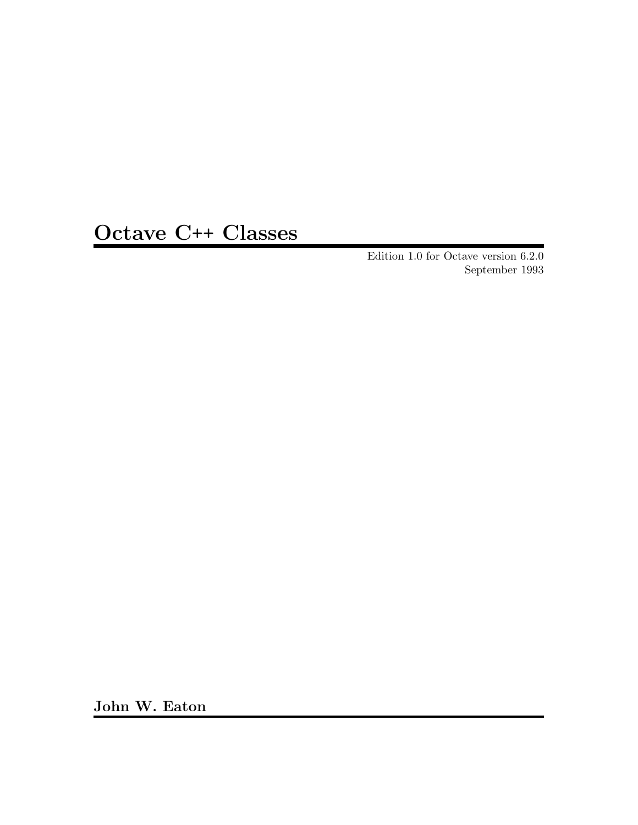# Octave C++ Classes

Edition 1.0 for Octave version 6.2.0 September 1993

John W. Eaton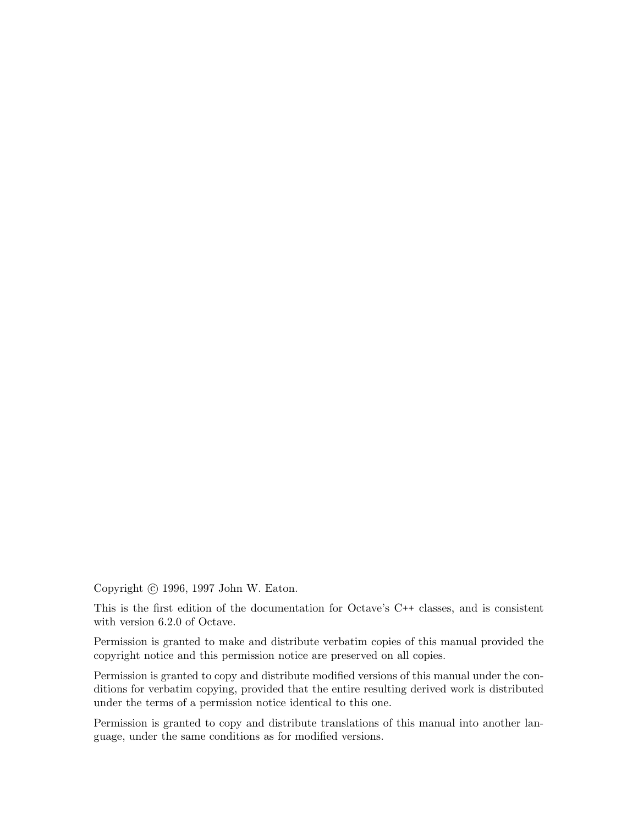Copyright © 1996, 1997 John W. Eaton.

This is the first edition of the documentation for Octave's C++ classes, and is consistent with version 6.2.0 of Octave.

Permission is granted to make and distribute verbatim copies of this manual provided the copyright notice and this permission notice are preserved on all copies.

Permission is granted to copy and distribute modified versions of this manual under the conditions for verbatim copying, provided that the entire resulting derived work is distributed under the terms of a permission notice identical to this one.

Permission is granted to copy and distribute translations of this manual into another language, under the same conditions as for modified versions.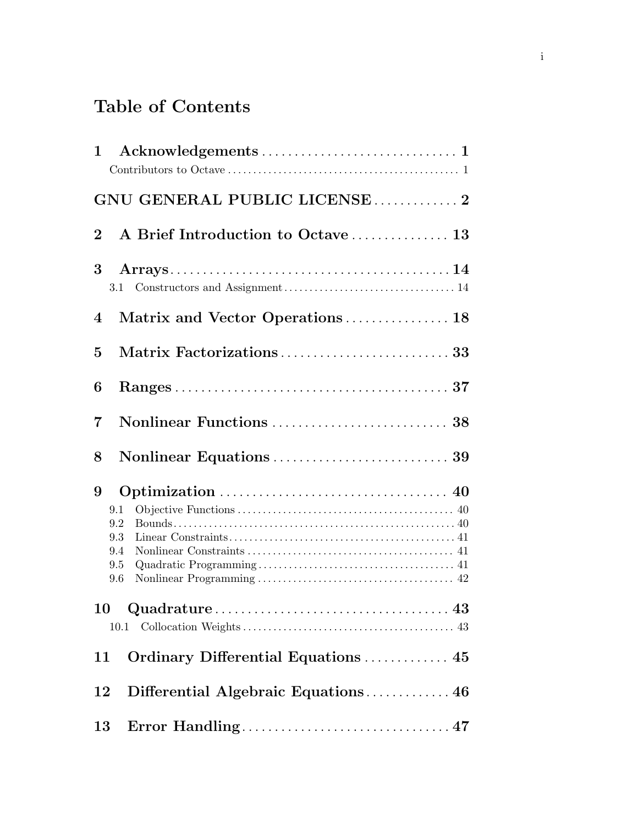# Table of Contents

| 1               |                                                                                                       |
|-----------------|-------------------------------------------------------------------------------------------------------|
|                 | GNU GENERAL PUBLIC LICENSE2                                                                           |
| $\overline{2}$  | A Brief Introduction to Octave  13                                                                    |
| $3\phantom{.0}$ | $\text{Constructors and Assignment}\dots\dots\dots\dots\dots\dots\dots\dots\dots\dots\dots 14$<br>3.1 |
| $\overline{4}$  | Matrix and Vector Operations 18                                                                       |
| $\overline{5}$  |                                                                                                       |
| 6               |                                                                                                       |
| $\overline{7}$  |                                                                                                       |
| 8               |                                                                                                       |
| 9               | 9.1<br>9.2<br>9.3<br>9.4<br>9.5<br>9.6                                                                |
|                 |                                                                                                       |
| 11              | Ordinary Differential Equations  45                                                                   |
| 12              | Differential Algebraic Equations 46                                                                   |
| 13              |                                                                                                       |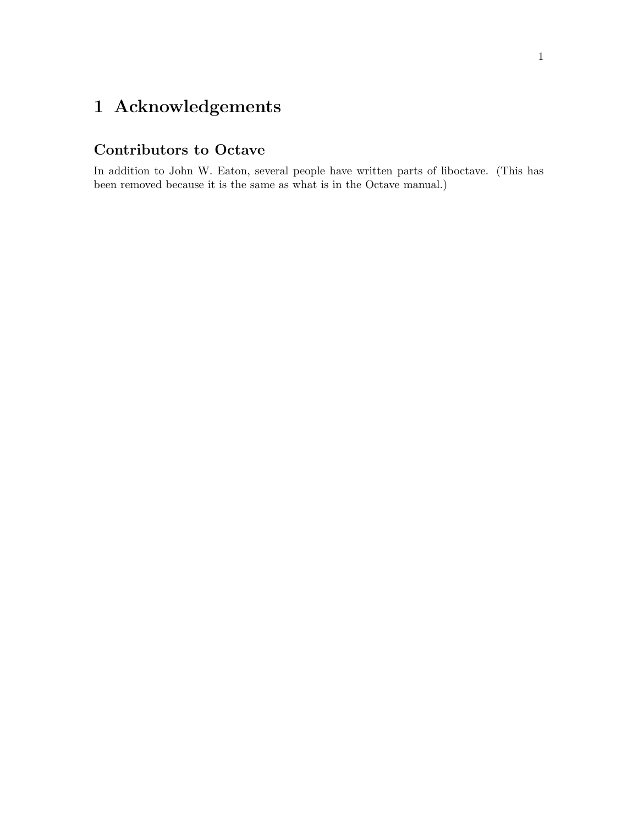# <span id="page-4-0"></span>1 Acknowledgements

#### Contributors to Octave

In addition to John W. Eaton, several people have written parts of liboctave. (This has been removed because it is the same as what is in the Octave manual.)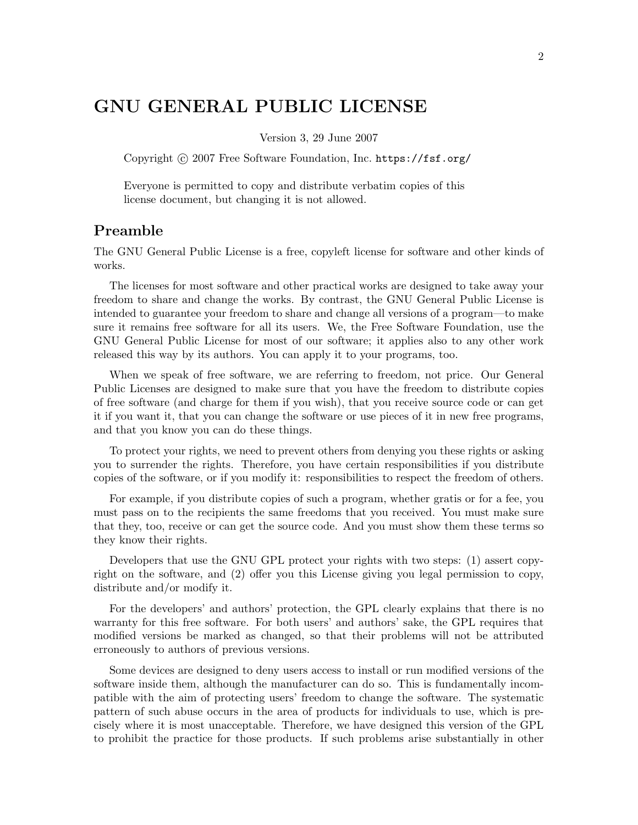### <span id="page-5-0"></span>GNU GENERAL PUBLIC LICENSE

Version 3, 29 June 2007

Copyright © 2007 Free Software Foundation, Inc. <https://fsf.org/>

Everyone is permitted to copy and distribute verbatim copies of this license document, but changing it is not allowed.

#### Preamble

The GNU General Public License is a free, copyleft license for software and other kinds of works.

The licenses for most software and other practical works are designed to take away your freedom to share and change the works. By contrast, the GNU General Public License is intended to guarantee your freedom to share and change all versions of a program—to make sure it remains free software for all its users. We, the Free Software Foundation, use the GNU General Public License for most of our software; it applies also to any other work released this way by its authors. You can apply it to your programs, too.

When we speak of free software, we are referring to freedom, not price. Our General Public Licenses are designed to make sure that you have the freedom to distribute copies of free software (and charge for them if you wish), that you receive source code or can get it if you want it, that you can change the software or use pieces of it in new free programs, and that you know you can do these things.

To protect your rights, we need to prevent others from denying you these rights or asking you to surrender the rights. Therefore, you have certain responsibilities if you distribute copies of the software, or if you modify it: responsibilities to respect the freedom of others.

For example, if you distribute copies of such a program, whether gratis or for a fee, you must pass on to the recipients the same freedoms that you received. You must make sure that they, too, receive or can get the source code. And you must show them these terms so they know their rights.

Developers that use the GNU GPL protect your rights with two steps: (1) assert copyright on the software, and (2) offer you this License giving you legal permission to copy, distribute and/or modify it.

For the developers' and authors' protection, the GPL clearly explains that there is no warranty for this free software. For both users' and authors' sake, the GPL requires that modified versions be marked as changed, so that their problems will not be attributed erroneously to authors of previous versions.

Some devices are designed to deny users access to install or run modified versions of the software inside them, although the manufacturer can do so. This is fundamentally incompatible with the aim of protecting users' freedom to change the software. The systematic pattern of such abuse occurs in the area of products for individuals to use, which is precisely where it is most unacceptable. Therefore, we have designed this version of the GPL to prohibit the practice for those products. If such problems arise substantially in other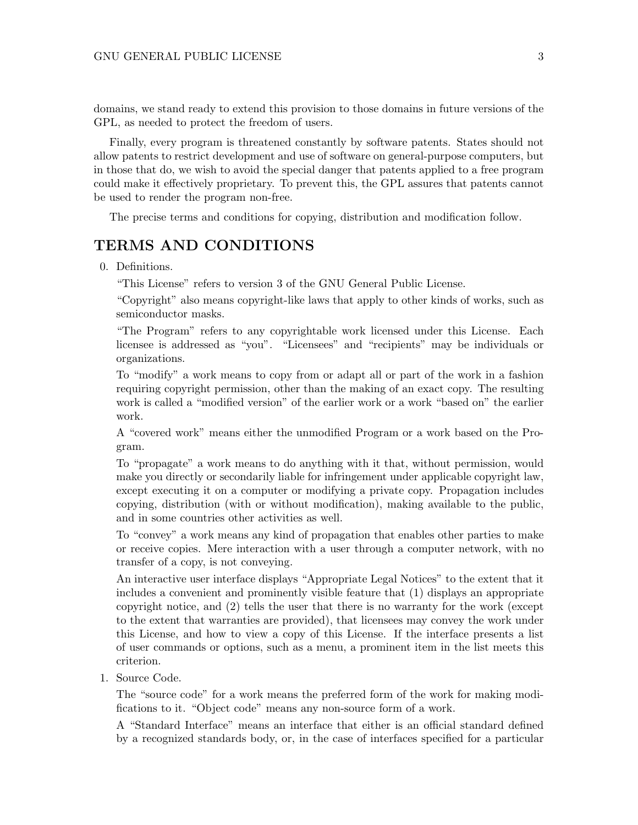domains, we stand ready to extend this provision to those domains in future versions of the GPL, as needed to protect the freedom of users.

Finally, every program is threatened constantly by software patents. States should not allow patents to restrict development and use of software on general-purpose computers, but in those that do, we wish to avoid the special danger that patents applied to a free program could make it effectively proprietary. To prevent this, the GPL assures that patents cannot be used to render the program non-free.

The precise terms and conditions for copying, distribution and modification follow.

#### TERMS AND CONDITIONS

0. Definitions.

"This License" refers to version 3 of the GNU General Public License.

"Copyright" also means copyright-like laws that apply to other kinds of works, such as semiconductor masks.

"The Program" refers to any copyrightable work licensed under this License. Each licensee is addressed as "you". "Licensees" and "recipients" may be individuals or organizations.

To "modify" a work means to copy from or adapt all or part of the work in a fashion requiring copyright permission, other than the making of an exact copy. The resulting work is called a "modified version" of the earlier work or a work "based on" the earlier work.

A "covered work" means either the unmodified Program or a work based on the Program.

To "propagate" a work means to do anything with it that, without permission, would make you directly or secondarily liable for infringement under applicable copyright law, except executing it on a computer or modifying a private copy. Propagation includes copying, distribution (with or without modification), making available to the public, and in some countries other activities as well.

To "convey" a work means any kind of propagation that enables other parties to make or receive copies. Mere interaction with a user through a computer network, with no transfer of a copy, is not conveying.

An interactive user interface displays "Appropriate Legal Notices" to the extent that it includes a convenient and prominently visible feature that (1) displays an appropriate copyright notice, and (2) tells the user that there is no warranty for the work (except to the extent that warranties are provided), that licensees may convey the work under this License, and how to view a copy of this License. If the interface presents a list of user commands or options, such as a menu, a prominent item in the list meets this criterion.

1. Source Code.

The "source code" for a work means the preferred form of the work for making modifications to it. "Object code" means any non-source form of a work.

A "Standard Interface" means an interface that either is an official standard defined by a recognized standards body, or, in the case of interfaces specified for a particular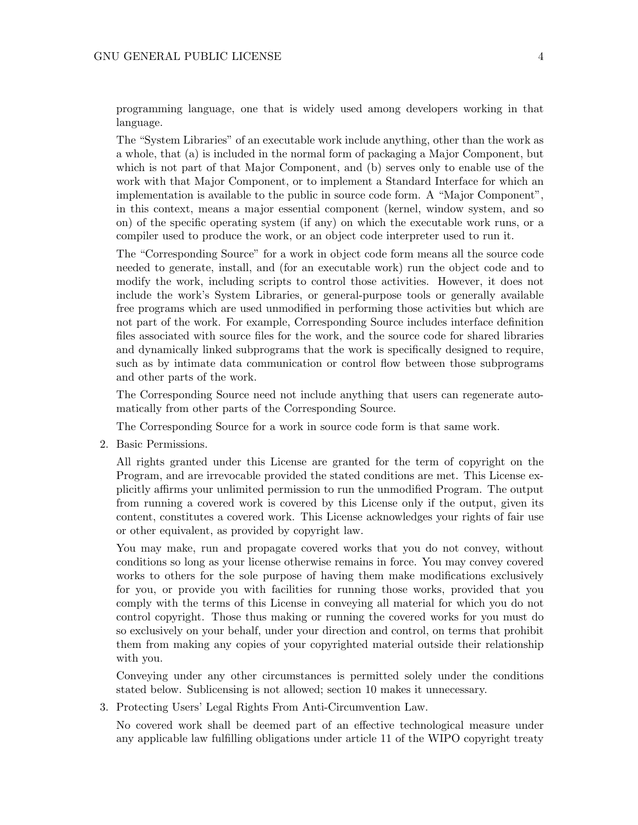programming language, one that is widely used among developers working in that language.

The "System Libraries" of an executable work include anything, other than the work as a whole, that (a) is included in the normal form of packaging a Major Component, but which is not part of that Major Component, and (b) serves only to enable use of the work with that Major Component, or to implement a Standard Interface for which an implementation is available to the public in source code form. A "Major Component", in this context, means a major essential component (kernel, window system, and so on) of the specific operating system (if any) on which the executable work runs, or a compiler used to produce the work, or an object code interpreter used to run it.

The "Corresponding Source" for a work in object code form means all the source code needed to generate, install, and (for an executable work) run the object code and to modify the work, including scripts to control those activities. However, it does not include the work's System Libraries, or general-purpose tools or generally available free programs which are used unmodified in performing those activities but which are not part of the work. For example, Corresponding Source includes interface definition files associated with source files for the work, and the source code for shared libraries and dynamically linked subprograms that the work is specifically designed to require, such as by intimate data communication or control flow between those subprograms and other parts of the work.

The Corresponding Source need not include anything that users can regenerate automatically from other parts of the Corresponding Source.

The Corresponding Source for a work in source code form is that same work.

2. Basic Permissions.

All rights granted under this License are granted for the term of copyright on the Program, and are irrevocable provided the stated conditions are met. This License explicitly affirms your unlimited permission to run the unmodified Program. The output from running a covered work is covered by this License only if the output, given its content, constitutes a covered work. This License acknowledges your rights of fair use or other equivalent, as provided by copyright law.

You may make, run and propagate covered works that you do not convey, without conditions so long as your license otherwise remains in force. You may convey covered works to others for the sole purpose of having them make modifications exclusively for you, or provide you with facilities for running those works, provided that you comply with the terms of this License in conveying all material for which you do not control copyright. Those thus making or running the covered works for you must do so exclusively on your behalf, under your direction and control, on terms that prohibit them from making any copies of your copyrighted material outside their relationship with you.

Conveying under any other circumstances is permitted solely under the conditions stated below. Sublicensing is not allowed; section 10 makes it unnecessary.

3. Protecting Users' Legal Rights From Anti-Circumvention Law.

No covered work shall be deemed part of an effective technological measure under any applicable law fulfilling obligations under article 11 of the WIPO copyright treaty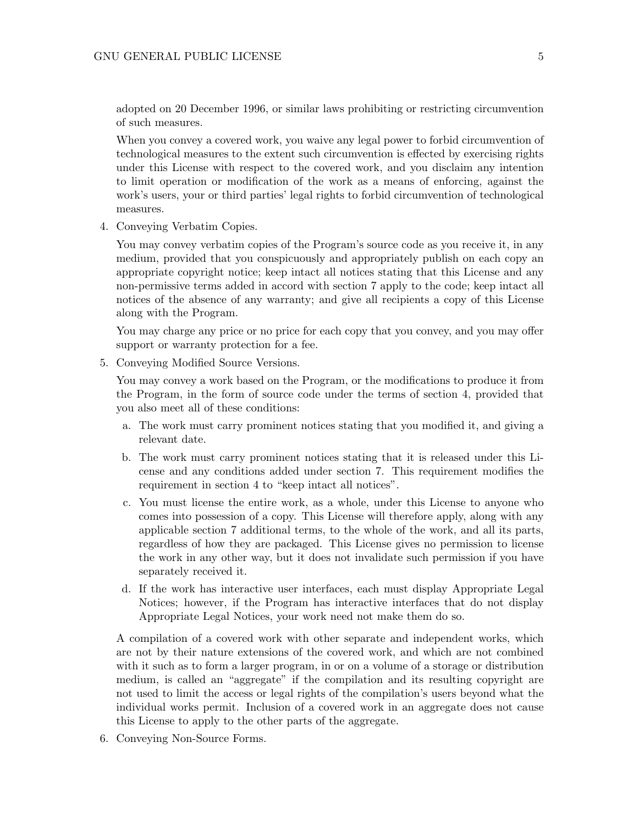adopted on 20 December 1996, or similar laws prohibiting or restricting circumvention of such measures.

When you convey a covered work, you waive any legal power to forbid circumvention of technological measures to the extent such circumvention is effected by exercising rights under this License with respect to the covered work, and you disclaim any intention to limit operation or modification of the work as a means of enforcing, against the work's users, your or third parties' legal rights to forbid circumvention of technological measures.

4. Conveying Verbatim Copies.

You may convey verbatim copies of the Program's source code as you receive it, in any medium, provided that you conspicuously and appropriately publish on each copy an appropriate copyright notice; keep intact all notices stating that this License and any non-permissive terms added in accord with section 7 apply to the code; keep intact all notices of the absence of any warranty; and give all recipients a copy of this License along with the Program.

You may charge any price or no price for each copy that you convey, and you may offer support or warranty protection for a fee.

5. Conveying Modified Source Versions.

You may convey a work based on the Program, or the modifications to produce it from the Program, in the form of source code under the terms of section 4, provided that you also meet all of these conditions:

- a. The work must carry prominent notices stating that you modified it, and giving a relevant date.
- b. The work must carry prominent notices stating that it is released under this License and any conditions added under section 7. This requirement modifies the requirement in section 4 to "keep intact all notices".
- c. You must license the entire work, as a whole, under this License to anyone who comes into possession of a copy. This License will therefore apply, along with any applicable section 7 additional terms, to the whole of the work, and all its parts, regardless of how they are packaged. This License gives no permission to license the work in any other way, but it does not invalidate such permission if you have separately received it.
- d. If the work has interactive user interfaces, each must display Appropriate Legal Notices; however, if the Program has interactive interfaces that do not display Appropriate Legal Notices, your work need not make them do so.

A compilation of a covered work with other separate and independent works, which are not by their nature extensions of the covered work, and which are not combined with it such as to form a larger program, in or on a volume of a storage or distribution medium, is called an "aggregate" if the compilation and its resulting copyright are not used to limit the access or legal rights of the compilation's users beyond what the individual works permit. Inclusion of a covered work in an aggregate does not cause this License to apply to the other parts of the aggregate.

6. Conveying Non-Source Forms.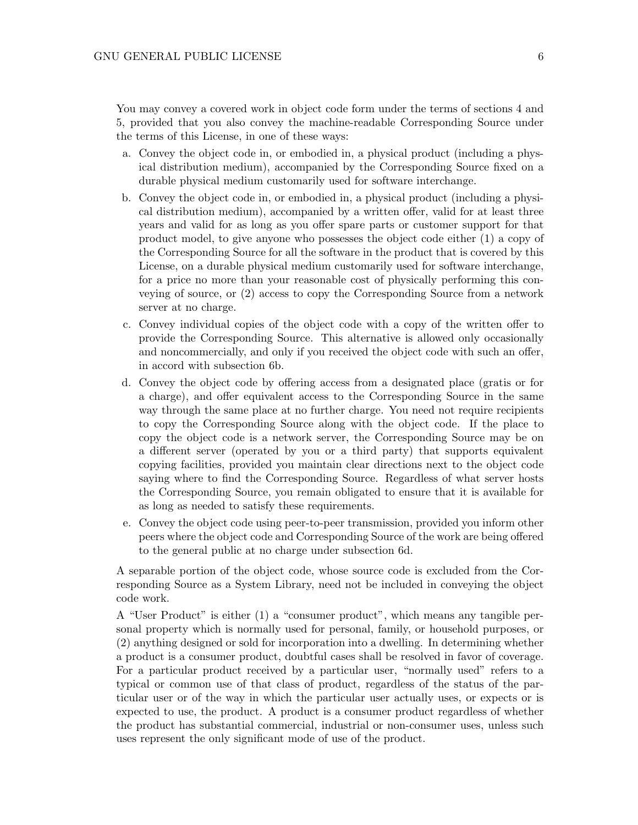You may convey a covered work in object code form under the terms of sections 4 and 5, provided that you also convey the machine-readable Corresponding Source under the terms of this License, in one of these ways:

- a. Convey the object code in, or embodied in, a physical product (including a physical distribution medium), accompanied by the Corresponding Source fixed on a durable physical medium customarily used for software interchange.
- b. Convey the object code in, or embodied in, a physical product (including a physical distribution medium), accompanied by a written offer, valid for at least three years and valid for as long as you offer spare parts or customer support for that product model, to give anyone who possesses the object code either (1) a copy of the Corresponding Source for all the software in the product that is covered by this License, on a durable physical medium customarily used for software interchange, for a price no more than your reasonable cost of physically performing this conveying of source, or (2) access to copy the Corresponding Source from a network server at no charge.
- c. Convey individual copies of the object code with a copy of the written offer to provide the Corresponding Source. This alternative is allowed only occasionally and noncommercially, and only if you received the object code with such an offer, in accord with subsection 6b.
- d. Convey the object code by offering access from a designated place (gratis or for a charge), and offer equivalent access to the Corresponding Source in the same way through the same place at no further charge. You need not require recipients to copy the Corresponding Source along with the object code. If the place to copy the object code is a network server, the Corresponding Source may be on a different server (operated by you or a third party) that supports equivalent copying facilities, provided you maintain clear directions next to the object code saying where to find the Corresponding Source. Regardless of what server hosts the Corresponding Source, you remain obligated to ensure that it is available for as long as needed to satisfy these requirements.
- e. Convey the object code using peer-to-peer transmission, provided you inform other peers where the object code and Corresponding Source of the work are being offered to the general public at no charge under subsection 6d.

A separable portion of the object code, whose source code is excluded from the Corresponding Source as a System Library, need not be included in conveying the object code work.

A "User Product" is either (1) a "consumer product", which means any tangible personal property which is normally used for personal, family, or household purposes, or (2) anything designed or sold for incorporation into a dwelling. In determining whether a product is a consumer product, doubtful cases shall be resolved in favor of coverage. For a particular product received by a particular user, "normally used" refers to a typical or common use of that class of product, regardless of the status of the particular user or of the way in which the particular user actually uses, or expects or is expected to use, the product. A product is a consumer product regardless of whether the product has substantial commercial, industrial or non-consumer uses, unless such uses represent the only significant mode of use of the product.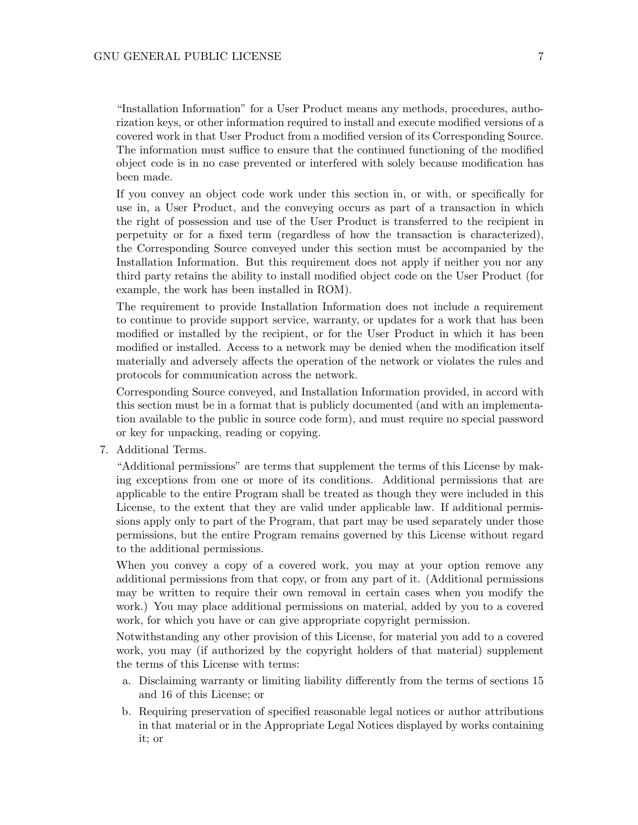"Installation Information" for a User Product means any methods, procedures, authorization keys, or other information required to install and execute modified versions of a covered work in that User Product from a modified version of its Corresponding Source. The information must suffice to ensure that the continued functioning of the modified object code is in no case prevented or interfered with solely because modification has been made.

If you convey an object code work under this section in, or with, or specifically for use in, a User Product, and the conveying occurs as part of a transaction in which the right of possession and use of the User Product is transferred to the recipient in perpetuity or for a fixed term (regardless of how the transaction is characterized), the Corresponding Source conveyed under this section must be accompanied by the Installation Information. But this requirement does not apply if neither you nor any third party retains the ability to install modified object code on the User Product (for example, the work has been installed in ROM).

The requirement to provide Installation Information does not include a requirement to continue to provide support service, warranty, or updates for a work that has been modified or installed by the recipient, or for the User Product in which it has been modified or installed. Access to a network may be denied when the modification itself materially and adversely affects the operation of the network or violates the rules and protocols for communication across the network.

Corresponding Source conveyed, and Installation Information provided, in accord with this section must be in a format that is publicly documented (and with an implementation available to the public in source code form), and must require no special password or key for unpacking, reading or copying.

7. Additional Terms.

"Additional permissions" are terms that supplement the terms of this License by making exceptions from one or more of its conditions. Additional permissions that are applicable to the entire Program shall be treated as though they were included in this License, to the extent that they are valid under applicable law. If additional permissions apply only to part of the Program, that part may be used separately under those permissions, but the entire Program remains governed by this License without regard to the additional permissions.

When you convey a copy of a covered work, you may at your option remove any additional permissions from that copy, or from any part of it. (Additional permissions may be written to require their own removal in certain cases when you modify the work.) You may place additional permissions on material, added by you to a covered work, for which you have or can give appropriate copyright permission.

Notwithstanding any other provision of this License, for material you add to a covered work, you may (if authorized by the copyright holders of that material) supplement the terms of this License with terms:

- a. Disclaiming warranty or limiting liability differently from the terms of sections 15 and 16 of this License; or
- b. Requiring preservation of specified reasonable legal notices or author attributions in that material or in the Appropriate Legal Notices displayed by works containing it; or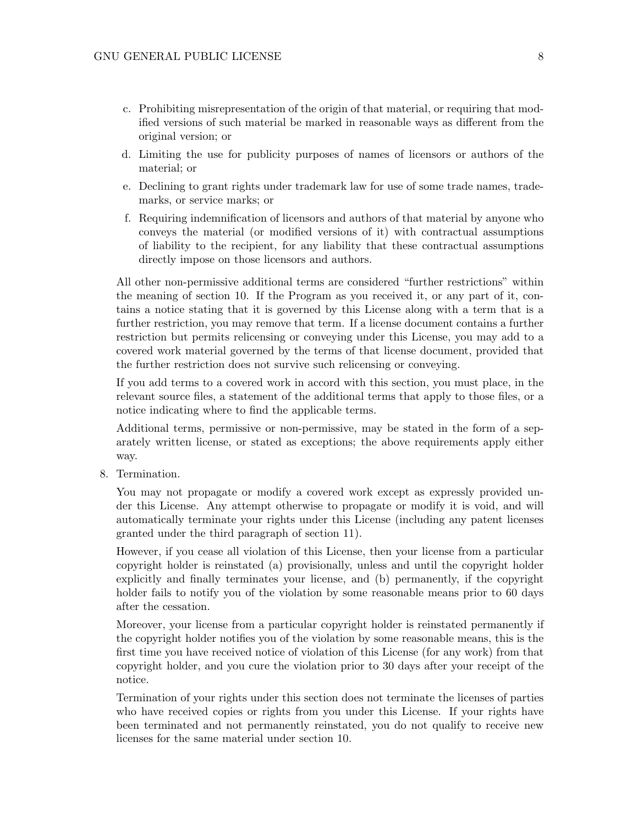- c. Prohibiting misrepresentation of the origin of that material, or requiring that modified versions of such material be marked in reasonable ways as different from the original version; or
- d. Limiting the use for publicity purposes of names of licensors or authors of the material; or
- e. Declining to grant rights under trademark law for use of some trade names, trademarks, or service marks; or
- f. Requiring indemnification of licensors and authors of that material by anyone who conveys the material (or modified versions of it) with contractual assumptions of liability to the recipient, for any liability that these contractual assumptions directly impose on those licensors and authors.

All other non-permissive additional terms are considered "further restrictions" within the meaning of section 10. If the Program as you received it, or any part of it, contains a notice stating that it is governed by this License along with a term that is a further restriction, you may remove that term. If a license document contains a further restriction but permits relicensing or conveying under this License, you may add to a covered work material governed by the terms of that license document, provided that the further restriction does not survive such relicensing or conveying.

If you add terms to a covered work in accord with this section, you must place, in the relevant source files, a statement of the additional terms that apply to those files, or a notice indicating where to find the applicable terms.

Additional terms, permissive or non-permissive, may be stated in the form of a separately written license, or stated as exceptions; the above requirements apply either way.

8. Termination.

You may not propagate or modify a covered work except as expressly provided under this License. Any attempt otherwise to propagate or modify it is void, and will automatically terminate your rights under this License (including any patent licenses granted under the third paragraph of section 11).

However, if you cease all violation of this License, then your license from a particular copyright holder is reinstated (a) provisionally, unless and until the copyright holder explicitly and finally terminates your license, and (b) permanently, if the copyright holder fails to notify you of the violation by some reasonable means prior to 60 days after the cessation.

Moreover, your license from a particular copyright holder is reinstated permanently if the copyright holder notifies you of the violation by some reasonable means, this is the first time you have received notice of violation of this License (for any work) from that copyright holder, and you cure the violation prior to 30 days after your receipt of the notice.

Termination of your rights under this section does not terminate the licenses of parties who have received copies or rights from you under this License. If your rights have been terminated and not permanently reinstated, you do not qualify to receive new licenses for the same material under section 10.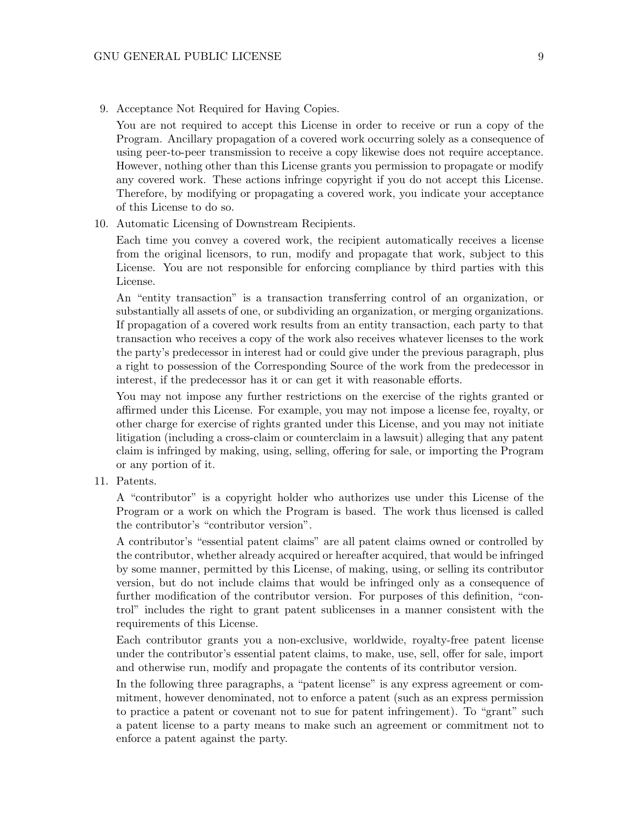9. Acceptance Not Required for Having Copies.

You are not required to accept this License in order to receive or run a copy of the Program. Ancillary propagation of a covered work occurring solely as a consequence of using peer-to-peer transmission to receive a copy likewise does not require acceptance. However, nothing other than this License grants you permission to propagate or modify any covered work. These actions infringe copyright if you do not accept this License. Therefore, by modifying or propagating a covered work, you indicate your acceptance of this License to do so.

10. Automatic Licensing of Downstream Recipients.

Each time you convey a covered work, the recipient automatically receives a license from the original licensors, to run, modify and propagate that work, subject to this License. You are not responsible for enforcing compliance by third parties with this License.

An "entity transaction" is a transaction transferring control of an organization, or substantially all assets of one, or subdividing an organization, or merging organizations. If propagation of a covered work results from an entity transaction, each party to that transaction who receives a copy of the work also receives whatever licenses to the work the party's predecessor in interest had or could give under the previous paragraph, plus a right to possession of the Corresponding Source of the work from the predecessor in interest, if the predecessor has it or can get it with reasonable efforts.

You may not impose any further restrictions on the exercise of the rights granted or affirmed under this License. For example, you may not impose a license fee, royalty, or other charge for exercise of rights granted under this License, and you may not initiate litigation (including a cross-claim or counterclaim in a lawsuit) alleging that any patent claim is infringed by making, using, selling, offering for sale, or importing the Program or any portion of it.

11. Patents.

A "contributor" is a copyright holder who authorizes use under this License of the Program or a work on which the Program is based. The work thus licensed is called the contributor's "contributor version".

A contributor's "essential patent claims" are all patent claims owned or controlled by the contributor, whether already acquired or hereafter acquired, that would be infringed by some manner, permitted by this License, of making, using, or selling its contributor version, but do not include claims that would be infringed only as a consequence of further modification of the contributor version. For purposes of this definition, "control" includes the right to grant patent sublicenses in a manner consistent with the requirements of this License.

Each contributor grants you a non-exclusive, worldwide, royalty-free patent license under the contributor's essential patent claims, to make, use, sell, offer for sale, import and otherwise run, modify and propagate the contents of its contributor version.

In the following three paragraphs, a "patent license" is any express agreement or commitment, however denominated, not to enforce a patent (such as an express permission to practice a patent or covenant not to sue for patent infringement). To "grant" such a patent license to a party means to make such an agreement or commitment not to enforce a patent against the party.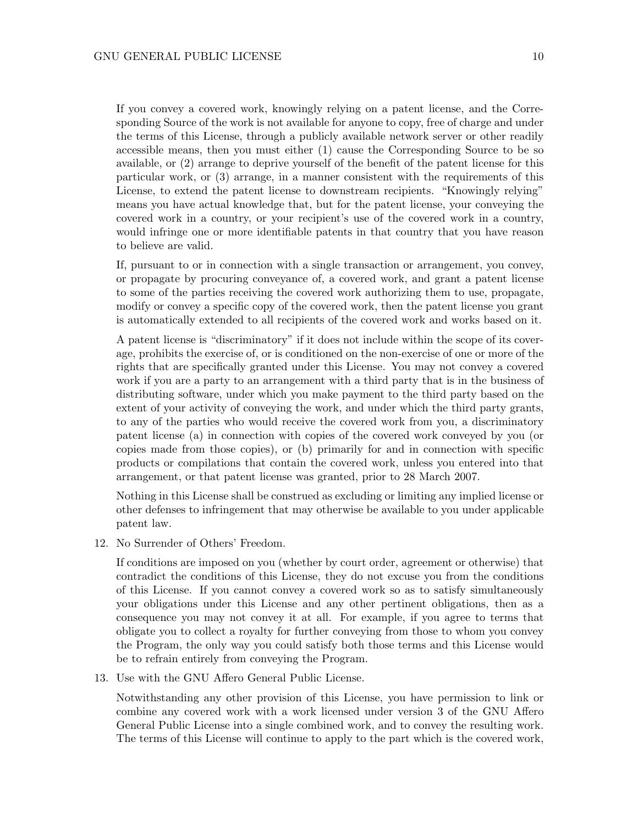If you convey a covered work, knowingly relying on a patent license, and the Corresponding Source of the work is not available for anyone to copy, free of charge and under the terms of this License, through a publicly available network server or other readily accessible means, then you must either (1) cause the Corresponding Source to be so available, or (2) arrange to deprive yourself of the benefit of the patent license for this particular work, or (3) arrange, in a manner consistent with the requirements of this License, to extend the patent license to downstream recipients. "Knowingly relying" means you have actual knowledge that, but for the patent license, your conveying the covered work in a country, or your recipient's use of the covered work in a country, would infringe one or more identifiable patents in that country that you have reason to believe are valid.

If, pursuant to or in connection with a single transaction or arrangement, you convey, or propagate by procuring conveyance of, a covered work, and grant a patent license to some of the parties receiving the covered work authorizing them to use, propagate, modify or convey a specific copy of the covered work, then the patent license you grant is automatically extended to all recipients of the covered work and works based on it.

A patent license is "discriminatory" if it does not include within the scope of its coverage, prohibits the exercise of, or is conditioned on the non-exercise of one or more of the rights that are specifically granted under this License. You may not convey a covered work if you are a party to an arrangement with a third party that is in the business of distributing software, under which you make payment to the third party based on the extent of your activity of conveying the work, and under which the third party grants, to any of the parties who would receive the covered work from you, a discriminatory patent license (a) in connection with copies of the covered work conveyed by you (or copies made from those copies), or (b) primarily for and in connection with specific products or compilations that contain the covered work, unless you entered into that arrangement, or that patent license was granted, prior to 28 March 2007.

Nothing in this License shall be construed as excluding or limiting any implied license or other defenses to infringement that may otherwise be available to you under applicable patent law.

12. No Surrender of Others' Freedom.

If conditions are imposed on you (whether by court order, agreement or otherwise) that contradict the conditions of this License, they do not excuse you from the conditions of this License. If you cannot convey a covered work so as to satisfy simultaneously your obligations under this License and any other pertinent obligations, then as a consequence you may not convey it at all. For example, if you agree to terms that obligate you to collect a royalty for further conveying from those to whom you convey the Program, the only way you could satisfy both those terms and this License would be to refrain entirely from conveying the Program.

13. Use with the GNU Affero General Public License.

Notwithstanding any other provision of this License, you have permission to link or combine any covered work with a work licensed under version 3 of the GNU Affero General Public License into a single combined work, and to convey the resulting work. The terms of this License will continue to apply to the part which is the covered work,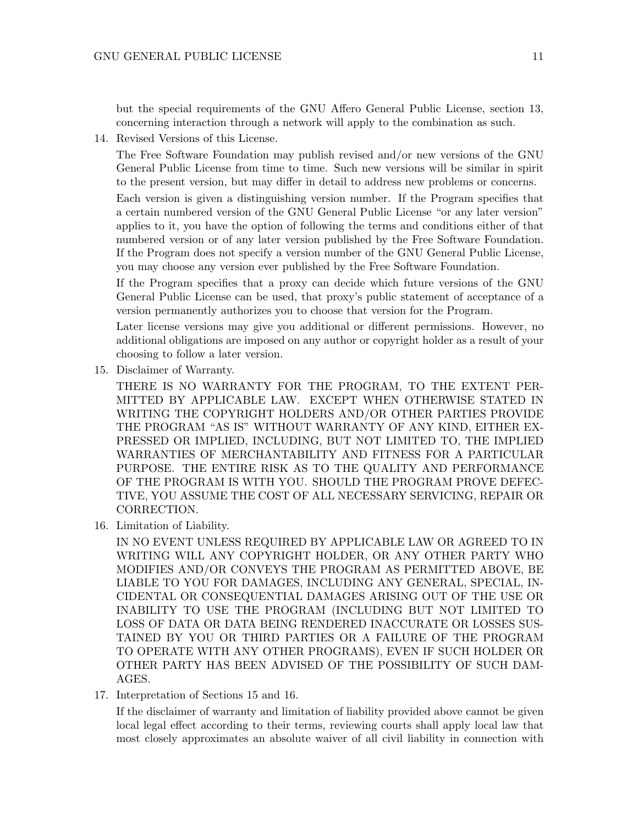but the special requirements of the GNU Affero General Public License, section 13, concerning interaction through a network will apply to the combination as such.

14. Revised Versions of this License.

The Free Software Foundation may publish revised and/or new versions of the GNU General Public License from time to time. Such new versions will be similar in spirit to the present version, but may differ in detail to address new problems or concerns.

Each version is given a distinguishing version number. If the Program specifies that a certain numbered version of the GNU General Public License "or any later version" applies to it, you have the option of following the terms and conditions either of that numbered version or of any later version published by the Free Software Foundation. If the Program does not specify a version number of the GNU General Public License, you may choose any version ever published by the Free Software Foundation.

If the Program specifies that a proxy can decide which future versions of the GNU General Public License can be used, that proxy's public statement of acceptance of a version permanently authorizes you to choose that version for the Program.

Later license versions may give you additional or different permissions. However, no additional obligations are imposed on any author or copyright holder as a result of your choosing to follow a later version.

15. Disclaimer of Warranty.

THERE IS NO WARRANTY FOR THE PROGRAM, TO THE EXTENT PER-MITTED BY APPLICABLE LAW. EXCEPT WHEN OTHERWISE STATED IN WRITING THE COPYRIGHT HOLDERS AND/OR OTHER PARTIES PROVIDE THE PROGRAM "AS IS" WITHOUT WARRANTY OF ANY KIND, EITHER EX-PRESSED OR IMPLIED, INCLUDING, BUT NOT LIMITED TO, THE IMPLIED WARRANTIES OF MERCHANTABILITY AND FITNESS FOR A PARTICULAR PURPOSE. THE ENTIRE RISK AS TO THE QUALITY AND PERFORMANCE OF THE PROGRAM IS WITH YOU. SHOULD THE PROGRAM PROVE DEFEC-TIVE, YOU ASSUME THE COST OF ALL NECESSARY SERVICING, REPAIR OR CORRECTION.

16. Limitation of Liability.

IN NO EVENT UNLESS REQUIRED BY APPLICABLE LAW OR AGREED TO IN WRITING WILL ANY COPYRIGHT HOLDER, OR ANY OTHER PARTY WHO MODIFIES AND/OR CONVEYS THE PROGRAM AS PERMITTED ABOVE, BE LIABLE TO YOU FOR DAMAGES, INCLUDING ANY GENERAL, SPECIAL, IN-CIDENTAL OR CONSEQUENTIAL DAMAGES ARISING OUT OF THE USE OR INABILITY TO USE THE PROGRAM (INCLUDING BUT NOT LIMITED TO LOSS OF DATA OR DATA BEING RENDERED INACCURATE OR LOSSES SUS-TAINED BY YOU OR THIRD PARTIES OR A FAILURE OF THE PROGRAM TO OPERATE WITH ANY OTHER PROGRAMS), EVEN IF SUCH HOLDER OR OTHER PARTY HAS BEEN ADVISED OF THE POSSIBILITY OF SUCH DAM-AGES.

17. Interpretation of Sections 15 and 16.

If the disclaimer of warranty and limitation of liability provided above cannot be given local legal effect according to their terms, reviewing courts shall apply local law that most closely approximates an absolute waiver of all civil liability in connection with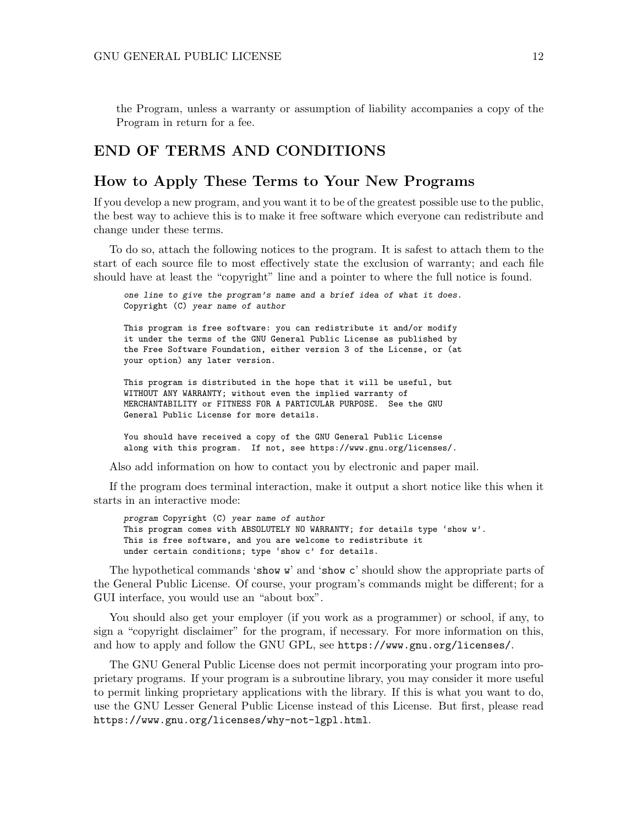the Program, unless a warranty or assumption of liability accompanies a copy of the Program in return for a fee.

#### END OF TERMS AND CONDITIONS

#### How to Apply These Terms to Your New Programs

If you develop a new program, and you want it to be of the greatest possible use to the public, the best way to achieve this is to make it free software which everyone can redistribute and change under these terms.

To do so, attach the following notices to the program. It is safest to attach them to the start of each source file to most effectively state the exclusion of warranty; and each file should have at least the "copyright" line and a pointer to where the full notice is found.

one line to give the program's name and a brief idea of what it does. Copyright (C) year name of author

This program is free software: you can redistribute it and/or modify it under the terms of the GNU General Public License as published by the Free Software Foundation, either version 3 of the License, or (at your option) any later version.

This program is distributed in the hope that it will be useful, but WITHOUT ANY WARRANTY; without even the implied warranty of MERCHANTABILITY or FITNESS FOR A PARTICULAR PURPOSE. See the GNU General Public License for more details.

You should have received a copy of the GNU General Public License along with this program. If not, see <https://www.gnu.org/licenses/>.

Also add information on how to contact you by electronic and paper mail.

If the program does terminal interaction, make it output a short notice like this when it starts in an interactive mode:

program Copyright (C) year name of author This program comes with ABSOLUTELY NO WARRANTY; for details type 'show w'. This is free software, and you are welcome to redistribute it under certain conditions; type 'show c' for details.

The hypothetical commands 'show w' and 'show c' should show the appropriate parts of the General Public License. Of course, your program's commands might be different; for a GUI interface, you would use an "about box".

You should also get your employer (if you work as a programmer) or school, if any, to sign a "copyright disclaimer" for the program, if necessary. For more information on this, and how to apply and follow the GNU GPL, see <https://www.gnu.org/licenses/>.

The GNU General Public License does not permit incorporating your program into proprietary programs. If your program is a subroutine library, you may consider it more useful to permit linking proprietary applications with the library. If this is what you want to do, use the GNU Lesser General Public License instead of this License. But first, please read <https://www.gnu.org/licenses/why-not-lgpl.html>.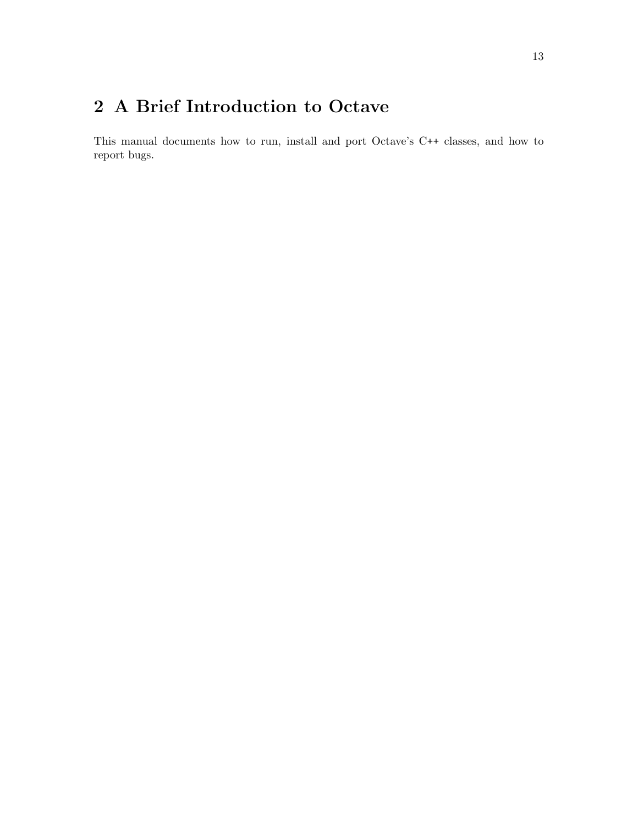# <span id="page-16-0"></span>2 A Brief Introduction to Octave

This manual documents how to run, install and port Octave's C++ classes, and how to report bugs.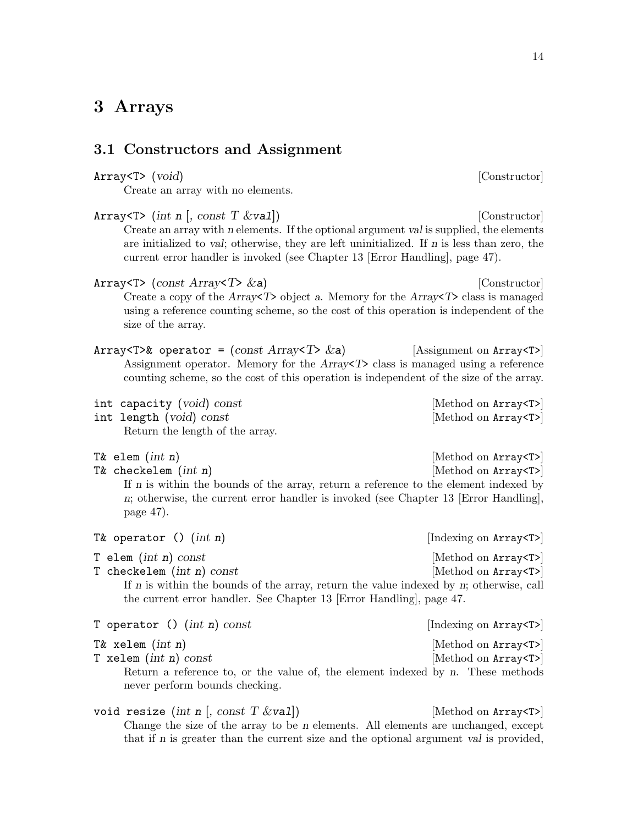#### <span id="page-17-0"></span>3.1 Constructors and Assignment

#### Array<T> (void) [Constructor]

Create an array with no elements.

| Array $\langle T \rangle$ (int n [, const T &val])<br>Create an array with n elements. If the optional argument val is supplied, the elements<br>are initialized to val; otherwise, they are left uninitialized. If n is less than zero, the<br>current error handler is invoked (see Chapter 13 [Error Handling], page 47). | [Constructor]                                          |
|------------------------------------------------------------------------------------------------------------------------------------------------------------------------------------------------------------------------------------------------------------------------------------------------------------------------------|--------------------------------------------------------|
| Array $\langle T \rangle$ (const Array $\langle T \rangle$ & a)<br>Create a copy of the Array $T$ > object a. Memory for the Array $T$ > class is managed<br>using a reference counting scheme, so the cost of this operation is independent of the<br>size of the array.                                                    | [Constructor]                                          |
| Array <t>&amp; operator = <math>\text{(const Array}</math> Array <math>\text{/th}</math><br/>Assignment operator. Memory for the <math>Array\ll T</math> class is managed using a reference<br/>counting scheme, so the cost of this operation is independent of the size of the array.</t>                                  | [Assignment on Array <t>]</t>                          |
| int capacity (void) const<br>int length (void) const<br>Return the length of the array.                                                                                                                                                                                                                                      | [Method on Array <t>]<br/>[Method on Array<t>]</t></t> |
| T& elem $(int n)$<br>T& checkelem $(int n)$<br>If $n$ is within the bounds of the array, return a reference to the element indexed by<br>n; otherwise, the current error handler is invoked (see Chapter 13 [Error Handling],<br>page $47$ ).                                                                                | [Method on Array <t>]<br/>[Method on Array<t>]</t></t> |
| T& operator $()$ $(int n)$                                                                                                                                                                                                                                                                                                   | [Indexing on Array <t>]</t>                            |
| T elem $(int n) const$<br>T checkelem $(int n)$ const<br>If $n$ is within the bounds of the array, return the value indexed by $n$ ; otherwise, call<br>the current error handler. See Chapter 13 [Error Handling], page 47.                                                                                                 | [Method on Array <t>]<br/>[Method on Array<t>]</t></t> |
| T operator () $(int n) const$                                                                                                                                                                                                                                                                                                | [Indexing on Array <t>]</t>                            |
| T& xelem $(int n)$<br>T xelem $(int n) const$<br>Return a reference to, or the value of, the element indexed by $n$ . These methods<br>never perform bounds checking.                                                                                                                                                        | [Method on Array <t>]<br/>[Method on Array<t>]</t></t> |

void resize (int n [, const  $T \&\text{val}$ ]) [Method on Array<T>] Change the size of the array to be n elements. All elements are unchanged, except that if n is greater than the current size and the optional argument val is provided,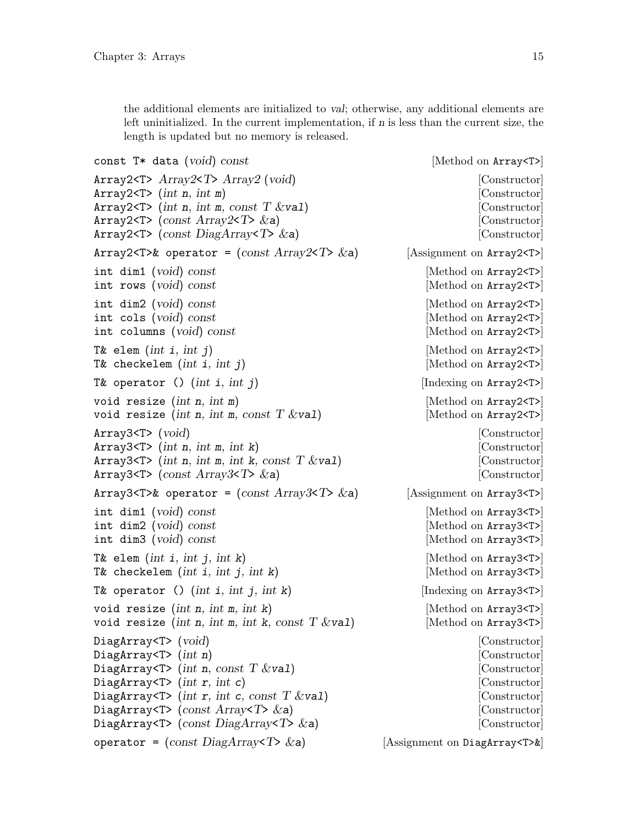<span id="page-18-0"></span>the additional elements are initialized to val; otherwise, any additional elements are left uninitialized. In the current implementation, if n is less than the current size, the length is updated but no memory is released.

```
const T* data (void) const [Method on Array <T>]
Array2<T> Array2<T> Array2 (void) [Constructor]
Array2<T> (int n, int m) [Constructor]
Array2 < T (int n, int m, const T &val) [Constructor]
Array2 < T> \{const \; Array2 < T> \&a\} [Constructor]
Array2<T> (const DiagArray<T> &a) [Constructor]
Array2<T> \& operator = (const Array2<T> \& a) [Assignment on Array2<T>]
int dim1 (void) const [Method on Array2<T>]
int rows (void) const [Method on Array2<T>]
int dim2 (void) const [Method on Array2<T>]
int cols (void) const [Method on Array2<T>]
int columns (void) const [Method on Array2<T>]
T& elem (int i, int j) [Method on Array2<T>]
T& checkelem (int i, int j) [Method on Array2<T>]
T& operator () (int i, int j) [Indexing on Array2<T>]
void resize (int n, int m) [\text{Method on Array2}<T>]]void resize (int n, int m, const T \&\text{val}) [Method on Array2<T>]
Array3<T> (void) in the constructor constructor constructor constructor constructor
Array3 < T > (int n, int m, int k) [Constructor]
Array3<T> (int n, int m, int k, const T \&val) [Constructor]
Array3<T> (const Array3<T> &a) [Constructor]
Array3<T>& operator = \text{(const Array3}<T> \&a) [Assignment on Array3<T>]
int dim1 (void) const [Method on Array3<T>]
int dim2 (void) const [Method on Array3<T>]
int dim3 (void) const [Method on Array3<T>]
T& elem (int i, int j, int k) [Method on Array3<T>]
T& checkelem (int i, int j, int k) [Method on Array3<T>]
T& operator () (int i, int j, int k) [Indexing on Array3<T>]
void resize (int n, int m, int k) [\text{Method on Array3}<T>void resize (int n, int m, int k, const T \&\text{val}) [Method on Array3<T>]
DiagArray<T> (void) [Constructor]
DiagArray<T> (int n) [Constructor]
DiagArray<T> (int n, const T &val) [Constructor]
DiagArray<T> (int r, int c) [Constructor]
DiagArray\langle T \rangle (int r, int c, const T &val) [Constructor]
DiagArray<T> (const Array<T> &a) [Constructor]
DiagArray<T> (const DiagArray<T> &a) [Constructor]
operator = \text{(const Diagram} < T > \& \text{a)} [Assignment on DiagArray<T>&]
```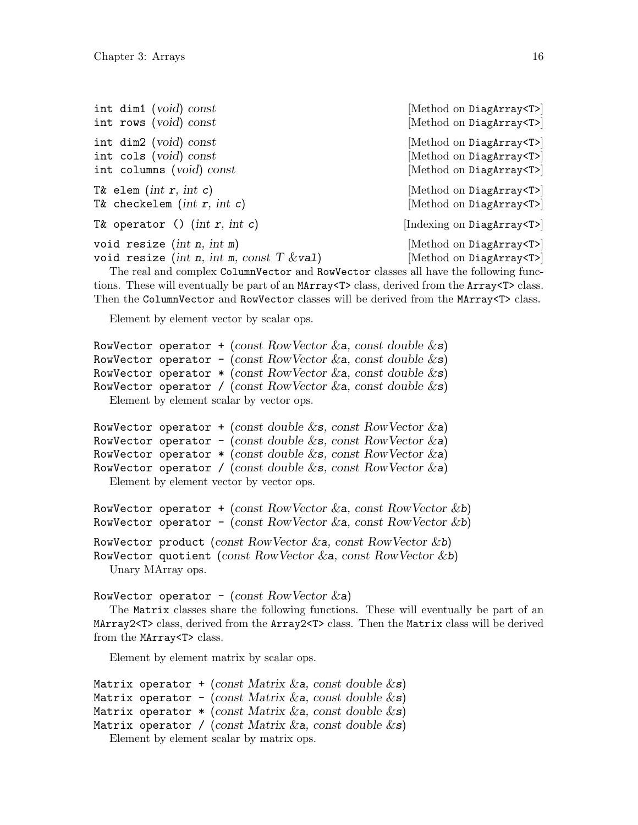<span id="page-19-0"></span>

| int dim1 (void) const                                                                                                                                                    | [Method on DiagArray <t>]</t>                                  |
|--------------------------------------------------------------------------------------------------------------------------------------------------------------------------|----------------------------------------------------------------|
| int rows (void) const                                                                                                                                                    | [Method on DiagArray <t>]</t>                                  |
| int dim2 (void) const                                                                                                                                                    | [Method on DiagArray <t>]</t>                                  |
| int cols (void) const                                                                                                                                                    | [Method on DiagArray <t>]</t>                                  |
| int columns (void) const                                                                                                                                                 | [Method on DiagArray <t>]</t>                                  |
| T& elem (int $r$ , int $c$ )                                                                                                                                             | [Method on DiagArray <t>]</t>                                  |
| T& checkelem (int $r$ , int $c$ )                                                                                                                                        | [Method on DiagArray <t>]</t>                                  |
| T& operator () (int $r$ , int c)                                                                                                                                         | [Indexing on DiagArray <t>]</t>                                |
| void resize (int $n$ , int $m$ )<br>void resize (int n, int m, const T $\&$ val)<br>The real and complex ColumnVector and RowVector classes all have the following func- | [Method on DiagArray <t>]<br/>[Method on DiagArray<t>]</t></t> |

tions. These will eventually be part of an MArray<T> class, derived from the Array<T> class. Then the ColumnVector and RowVector classes will be derived from the MArray<T> class.

Element by element vector by scalar ops.

```
RowVector operator + (const RowVector &a, const double \&s)
RowVector operator - (const RowVector &a, const double \&s)
RowVector operator *(\text{const} \; RowVector \; & a, \; const \; double \; & s)RowVector operator / (const RowVector &a, const double \&s)
  Element by element scalar by vector ops.
```

```
RowVector operator + (const double \&\textbf{s}, const RowVector \&\textbf{a})
RowVector operator - (const double \&\textbf{s}, const RowVector \&\textbf{a})
RowVector operator *(\text{const double} \& \text{s}, \text{const RowVector} \& \text{a})RowVector operator / (const double \&\textbf{s}, const RowVector \&\textbf{a})
   Element by element vector by vector ops.
```

```
RowVector operator + (const RowVector \&a, const RowVector \&b)
RowVector operator - (const RowVector &a, const RowVector &b)
RowVector product (const RowVector \&a, const RowVector \&b)
RowVector quotient (const RowVector \&a, const RowVector \&b)
  Unary MArray ops.
```

```
RowVector operator - (const RowVector \&a)
```
The Matrix classes share the following functions. These will eventually be part of an MArray2<T> class, derived from the Array2<T> class. Then the Matrix class will be derived from the MArray<T> class.

Element by element matrix by scalar ops.

```
Matrix operator + (const Matrix \&a, const double \&bs)
Matrix operator - (const Matrix & a, const double \&s)
Matrix operator *(\text{const} \text{ Matrix } \& \text{a}, \text{const} \text{ double } \& \text{s})Matrix operator / (const Matrix \&a, const double \&s)
   Element by element scalar by matrix ops.
```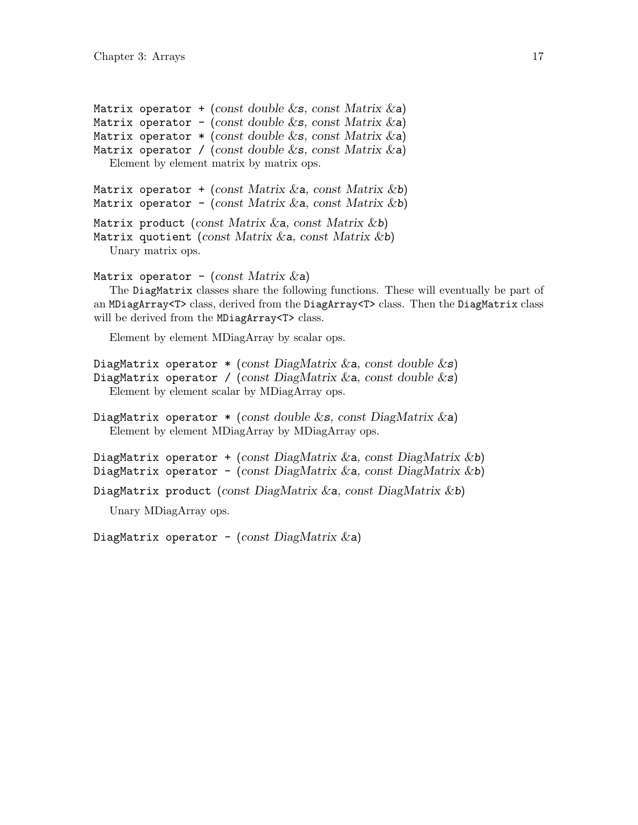<span id="page-20-0"></span>Matrix operator + (const double  $\&\textbf{s}$ , const Matrix  $\&\textbf{a}$ ) Matrix operator - (const double  $\&$ s, const Matrix  $\&$ a) Matrix operator  $*$  (const double &s, const Matrix &a) Matrix operator / (const double  $\&$ s, const Matrix  $\&$ a) Element by element matrix by matrix ops.

```
Matrix operator + (const Matrix &a, const Matrix &b)
Matrix operator - (const Matrix \&a, const Matrix \&b)
Matrix product (const Matrix \&a, const Matrix \&b)
Matrix quotient (const Matrix \&a, const Matrix \&b)
  Unary matrix ops.
```

```
Matrix operator - (const Matrix \&a))
```
The DiagMatrix classes share the following functions. These will eventually be part of an MDiagArray<T> class, derived from the DiagArray<T> class. Then the DiagMatrix class will be derived from the MDiagArray<T> class.

Element by element MDiagArray by scalar ops.

```
DiagMatrix operator * (const DiagMatrix & a, const double \&s)
DiagMatrix operator / (const DiagMatrix & a, const double \&s)
  Element by element scalar by MDiagArray ops.
```

```
DiagMatrix operator * (const double \&\textbf{s}, const DiagMatrix \&\textbf{a})
   Element by element MDiagArray by MDiagArray ops.
```

```
DiagMatrix operator + (const DiagMatrix & a, const DiagMatrix & b)
DiagMatrix operator - (const DiagMatrix & a, const DiagMatrix & b)
```

```
DiagMatrix product (const DiagMatrix & a, const DiagMatrix &b)
```
Unary MDiagArray ops.

DiagMatrix operator - (const  $DiagMatrix$   $\&a)$ )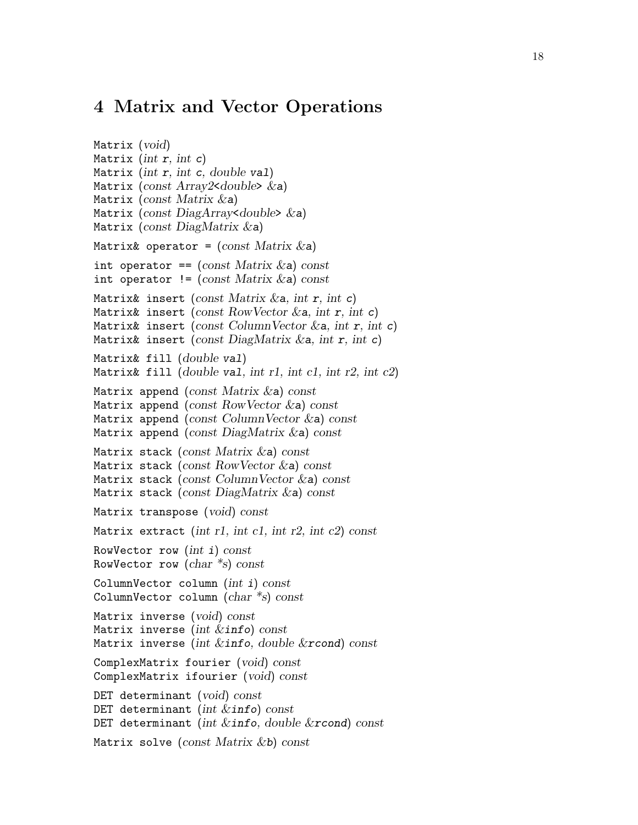#### <span id="page-21-0"></span>4 Matrix and Vector Operations

```
Matrix (void)
Matrix (int r, int c)
Matrix (int r, int c, double val)
Matrix (const Array2<double> \&a)
Matrix (const Matrix &a)
Matrix (const DiagArray<double> \&a)
Matrix (const DiagMatrix &a)
Matrix& operator = (const Matrix \&a)int operator == (const Matrix &a) const
int operator != (const Matrix \&a) const
Matrix& insert (const Matrix \&a, int r, int c)
Matrix& insert (const RowVector &a, int r, int c)
Matrix& insert (const ColumnVector \&a, int r, int c)
Matrix& insert (const DiagMatrix \&a, int r, int c)
Matrix& fill (double val)
Matrix& fill (double val, int r1, int c1, int r2, int c2)
Matrix append (const Matrix \&a) const
Matrix append (const RowVector &a) const
Matrix append (const ColumnVector \&a) const
Matrix append (const DiagMatrix \&a) const
Matrix stack (const Matrix \&a) const
Matrix stack (const RowVector \&a) const
Matrix stack (const ColumnVector \&a) const
Matrix stack (const DiagMatrix &a) const
Matrix transpose (void) const
Matrix extract (int r1, int c1, int r2, int c2) const
RowVector row (int i) const
RowVector row (char *s) const
ColumnVector column (int i) const
ColumnVector column (char *s) const
Matrix inverse (void) const
Matrix inverse (int &info) const
Matrix inverse (int &info, double &rcond) const
ComplexMatrix fourier (void) const
ComplexMatrix ifourier (void) const
DET determinant (void) const
DET determinant (int &info) const
DET determinant (int \&info, double \&rcond) const
Matrix solve (const Matrix \&b) const
```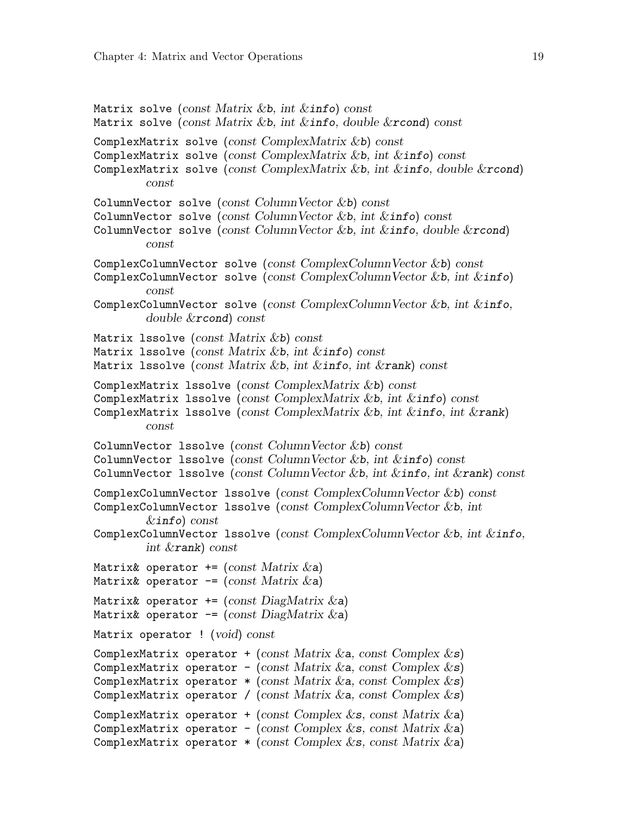```
Matrix solve (const Matrix &b, int &\text{info}) const
Matrix solve (const Matrix &b, int &info, double &rcond) const
ComplexMatrix solve (const ComplexMatrix &b) const
ComplexMatrix solve (const ComplexMatrix &b, int &info) const
ComplexMatrix solve (const ComplexMatrix &b, int &i info, double &x cond)
         const
ColumnVector solve (const ColumnVector &b) const
ColumnVector solve (const ColumnVector &b, int &\text{info}) const
ColumnVector solve (const ColumnVector &b, int &info, double &rcond)
         const
ComplexColumnVector solve (const ComplexColumnVector &b) const
ComplexColumnVector solve (const ComplexColumnVector &b, int &info)
         const
ComplexColumnVector solve (const ComplexColumnVector &b, int &info,
         double &rcond) const
Matrix 1ssolve (const Matrix &b) const
Matrix 1ssolve (const Matrix &b, int &\text{info}) const
Matrix 1ssolve (const Matrix &b, int &info, int &rank) const
ComplexMatrix 1ssolve (const ComplexMatrix &b) const
ComplexMatrix lssolve (const ComplexMatrix &b, int &info) const
ComplexMatrix 1ssolve (const ComplexMatrix &b, int &info, int &rank)
         const
ColumnVector 1ssolve (const ColumnVector &b) const
ColumnVector 1ssolve (const ColumnVector &b, int &info) const
ColumnVector 1ssolve (const ColumnVector &b, int &\text{info}, \text{int }&\text{rank}) \text{ const}ComplexColumnVector lssolve (const ComplexColumnVector &b) const
ComplexColumnVector lssolve (const ComplexColumnVector &b, int
         \&info) const
ComplexColumnVector lssolve (const ComplexColumnVector &b, int &info,
         int &rank) const
Matrix& operator += (const Matrix \&a)
Matrix& operator -= (const Matrix \&a)
Matrix& operator += (const DiagMatrix \&a)
Matrix& operator -= (const DiagMatrix \&a)
Matrix operator ! (void) const
ComplexMatrix operator + (const Matrix \&a, const Complex \&bs)
ComplexMatrix operator - (const Matrix \&\mathbf{a}, const Complex \&\mathbf{s})
ComplexMatrix operator * (const Matrix & a, const Complex & s)
ComplexMatrix operator / (const Matrix \&\mathbf{a}, const Complex \&\mathbf{s})
ComplexMatrix operator + (const Complex \&\textbf{s}, const Matrix \&\textbf{a})
ComplexMatrix operator - (const Complex &s, const Matrix &a)
ComplexMatrix operator *(const \text{ Complex} \& s, \text{ const } \text{Matrix} \& a)
```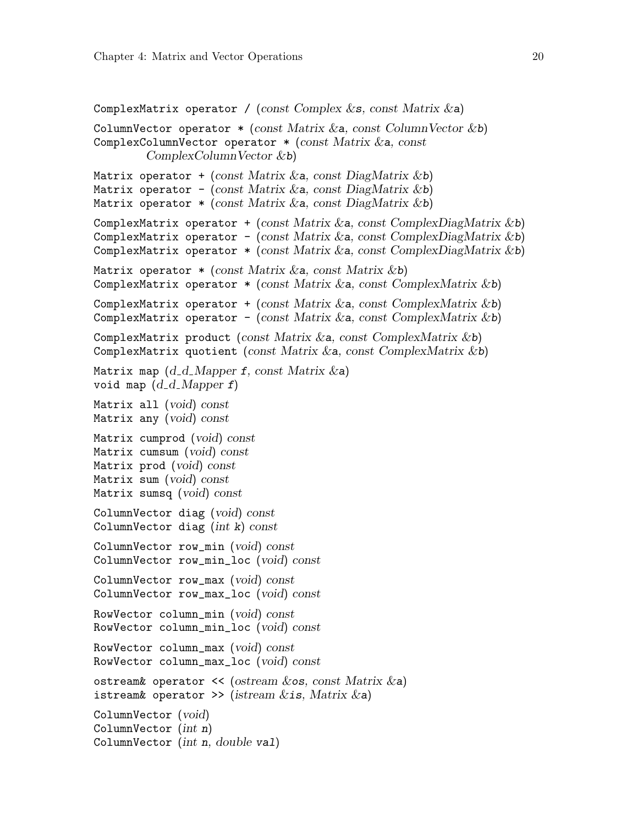```
ComplexMatrix operator / (const Complex \&\textbf{s}, const Matrix \&\textbf{a})
ColumnVector operator *(\text{const} Matrix \&\text{a}}, const ColumnVector \&\text{b})ComplexColumnVector operator *(const Matrix &a, const
        ComplexColumnVector &b)
Matrix operator + (const Matrix \&a, const DiagMatrix \&b))
Matrix operator - (const Matrix & a, const DiagMatrix & b)
Matrix operator * (const Matrix \&a, const DiagMatrix \&b)
ComplexMatrix operator + (const Matrix &a, const ComplexDiagMatrix &b)
ComplexMatrix operator - (const Matrix &a, const ComplexDiagMatrix &b)
ComplexMatrix operator *(\text{const Matrix} \& a, \text{const } \text{ComplexDiagMatrix} \& b)Matrix operator * (const Matrix \&a, const Matrix \&b)
ComplexMatrix operator *(\text{const} Matrix \&a, const ComplexMatrix \&b)ComplexMatrix operator + (const Matrix \&a, const ComplexMatrix \&b))
ComplexMatrix operator - (const Matrix &a, const ComplexMatrix &b)
ComplexMatrix product (const Matrix &a, const ComplexMatrix &b)
ComplexMatrix quotient (const Matrix &a, const ComplexMatrix &b)
Matrix map (d_d_M)Mapper f, const Matrix \&a)
void map (d_d_M)Matrix all (void) const
Matrix any (void) const
Matrix cumprod (void) const
Matrix cumsum (void) const
Matrix prod (void) const
Matrix sum (void) const
Matrix sumsq (void) const
ColumnVector diag (void) const
ColumnVector diag (int k) const
ColumnVector row_min (void) const
ColumnVector row_min_loc (void) const
ColumnVector row_max (void) const
ColumnVector row_max_loc (void) const
RowVector column_min (void) const
RowVector column_min_loc (void) const
RowVector column_max (void) const
RowVector column_max_loc (void) const
ostream& operator \lt\lt (ostream \&os, const Matrix \&a)
istream& operator >> (istream &is, Matrix &a)
ColumnVector (void)
ColumnVector (int n)
ColumnVector (int n, double val)
```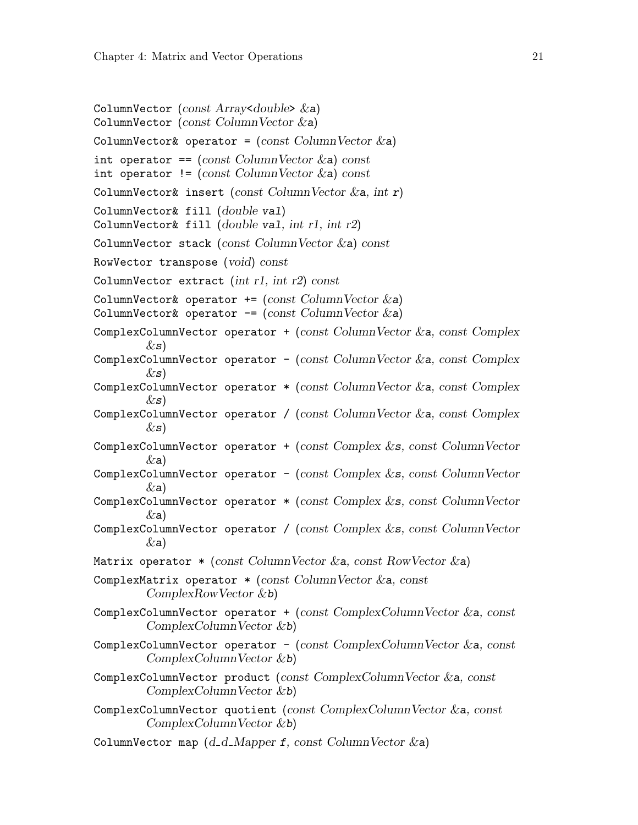```
ColumnVector (const Array<double> &a)
ColumnVector (const ColumnVector \&a)ColumnVector& operator = \text{(const ColumnVector &a)}int operator == \text{(const ColumnVector} \&a) \text{ const}int operator != \text{(const ColumnVector} \&a) \text{ const}ColumnVector& insert (const ColumnVector \&a, int r)
ColumnVector& fill (double val)
ColumnVector& fill (double val, int r1, int r2)ColumnVector stack (const ColumnVector &a) const
RowVector transpose (void) const
ColumnVector extract (int r1, int r2) const
ColumnVector& operator += (const ColumnVector &a)
ColumnVector& operator -= (const ColumnVector &a)
ComplexColumnVector operator + (const ColumnVector \&a, const Complex
         \&s)
ComplexColumnVector operator - (const ColumnVector &a, const Complex
         \&s)
ComplexColumnVector operator *(\text{const ColumnVector} \& a, \text{const Complex})\&s)
ComplexColumnVector operator / (const ColumnVector &a, const Complex
        \&s)
ComplexColumnVector operator + (const Complex \&\textbf{s}, const ColumnVector
         \&a)
ComplexColumnVector operator - (const Complex \&\textbf{s}, const ColumnVector
         \&a)
ComplexColumnVector operator *(const \text{ Complex } \& s, \text{ const } \text{ColumnVector }\&a)
ComplexColumnVector operator / (const Complex &s, const ColumnVector
        (xa)Matrix operator * (const ColumnVector \&a, const RowVector \&a)
ComplexMatrix operator * (const ColumnVector \&a, const
         ComplexRowVector &b)
ComplexColumnVector operator + (const ComplexColumnVector \&a, const
         ComplexColumnVector &b)
ComplexColumnVector operator - (const ComplexColumnVector \&a, const
         ComplexColumnVector &b)
ComplexColumnVector product (const ComplexColumnVector &a, const
         ComplexColumnVector &b)
ComplexColumnVector quotient (const ComplexColumnVector &a, const
         ComplexColumnVector &b)
ColumnVector map (d_d_M)Mapper f, const ColumnVector \&a)
```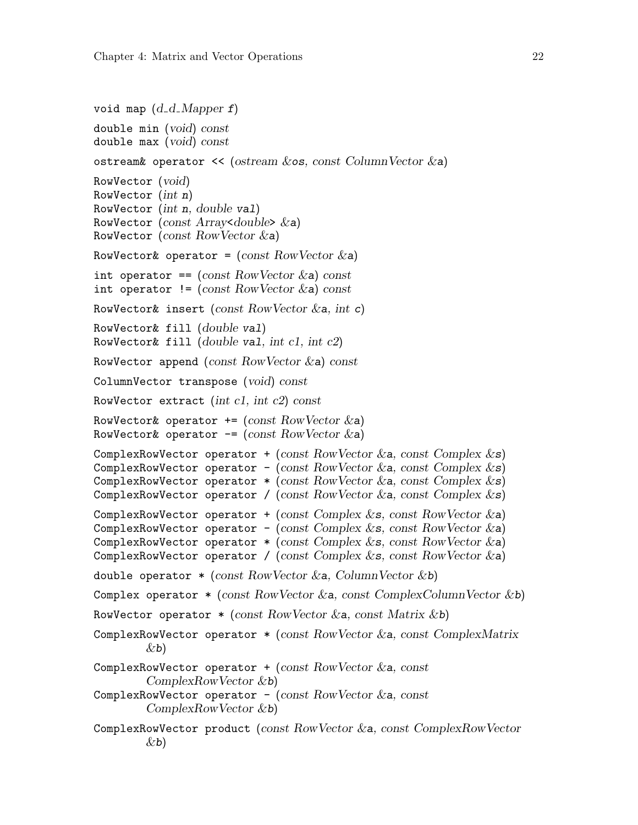```
void map (d_d_M) Mapper f)
double min (void) const
double max (void) const
ostream& operator << (ostream &os, const ColumnVector &a)
RowVector (void)
RowVector (int n)
RowVector (int n, double val)
RowVector (const Array<double> \&a)
RowVector (const RowVector &a)
RowVector& operator = (const RowVector & a)int operator == \text{(const RowVector} \&a) \text{ const}int operator != \text{(const RowVector & a) const}RowVector& insert (const RowVector & a, int c)
RowVector& fill (double val)
RowVector& fill (double val, int cl, int c2)RowVector append (const RowVector &a) const
ColumnVector transpose (void) const
RowVector extract (int c1, int c2) const
RowVector& operator += (const RowVector \&a)
RowVector& operator - (const RowVector &a)
ComplexRowVector operator + (const RowVector &a, const Complex &s)
ComplexRowVector operator - (const RowVector &a, const Complex &s)
ComplexRowVector operator * (const RowVector &a, const Complex &s)
ComplexRowVector operator / (const RowVector \&a, const Complex \&s)
ComplexRowVector operator + (const Complex \&s, const RowVector \&a)
ComplexRowVector operator - (const Complex &s, const RowVector &a)
ComplexRowVector operator * (const Complex \&s, const RowVector \&a)
ComplexRowVector operator / (const Complex \&s, const RowVector \&a)
double operator * (const RowVector &a, ColumnVector &b)
Complex operator * (const RowVector &a, const ComplexColumnVector &b)
RowVector operator *(\text{const RowVector} \& a, \text{const Matrix} \& b)ComplexRowVector operator * (const RowVector &a, const ComplexMatrix
        \&b)ComplexRowVector operator + (const RowVector &a, const
        ComplexRowVector &b)
ComplexRowVector operator - (const RowVector &a, const
        ComplexRowVector &b)
ComplexRowVector product (const RowVector &a, const ComplexRowVector
        \&b)
```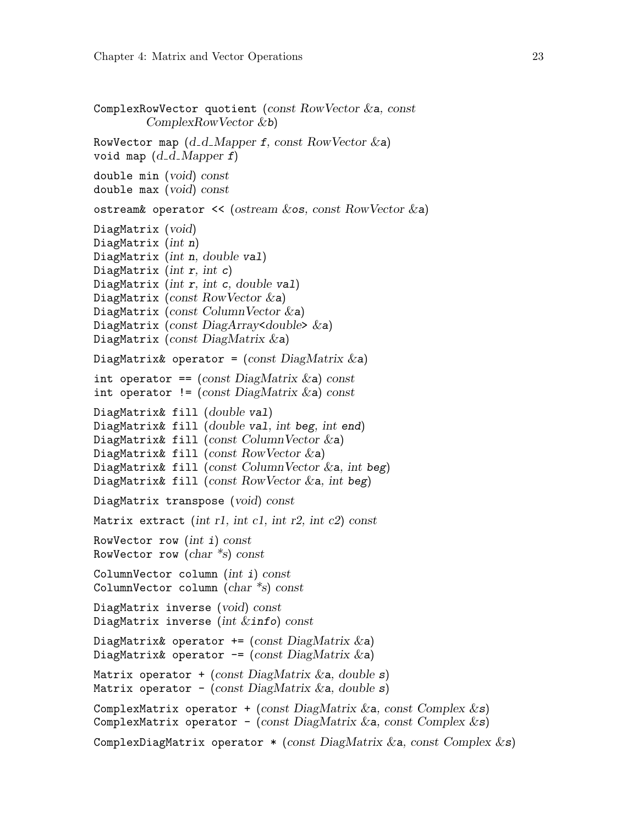```
ComplexRowVector quotient (const RowVector &a, const
         ComplexRowVector &b)
RowVector map (d_d_M) Mapper f, const RowVector &a)
void map (d_d_M)double min (void) const
double max (void) const
ostream& operator \prec (ostream \&os, const RowVector \&a)
DiagMatrix (void)
DiagMatrix (int n)
DiagMatrix (int n, double val)
DiagMatrix (int r, int c)
DiagMatrix (int r, int c, double val)
DiagMatrix (const RowVector &a)
DiagMatrix (const ColumnVector \&a)
DiagMatrix (const DiagArray<double> &a)
DiagMatrix (const DiagMatrix &a)
DiagMatrix& operator = (const \text{ DiagMatrix} \& a)int operator == (const \text{ DiagMatrix} \& a) \text{ const}int operator != (const \text{ DiagMatrix } \& a) \text{ const}DiagMatrix& fill (double val)
DiagMatrix& fill (double val, int beg, int end)
DiagMatrix& fill (const ColumnVector \&a)
DiagMatrix& fill (const RowVector \&a)
DiagMatrix& fill (const ColumnVector \&a, int beg)
DiagMatrix& fill (const RowVector &a, int beg)
DiagMatrix transpose (void) const
Matrix extract (int r1, int c1, int r2, int c2) const
RowVector row (int i) const
RowVector row (char *s) const
ColumnVector column (int i) const
ColumnVector column (char *s) const
DiagMatrix inverse (void) const
DiagMatrix inverse (int \&info) const
DiagMatrix& operator += (const DiagMatrix \&a)
DiagMatrix& operator -= (const DiagMatrix \&a)
Matrix operator + (const DiagMatrix \&a, double s)
Matrix operator - (const DiagMatrix & a, double s)
ComplexMatrix operator + (const DiagMatrix &a, const Complex &s)
ComplexMatrix operator - (const DiagMatrix & a, const Complex \&s)
ComplexDiagMatrix operator * (const DiagMatrix & a, const Complex & s)
```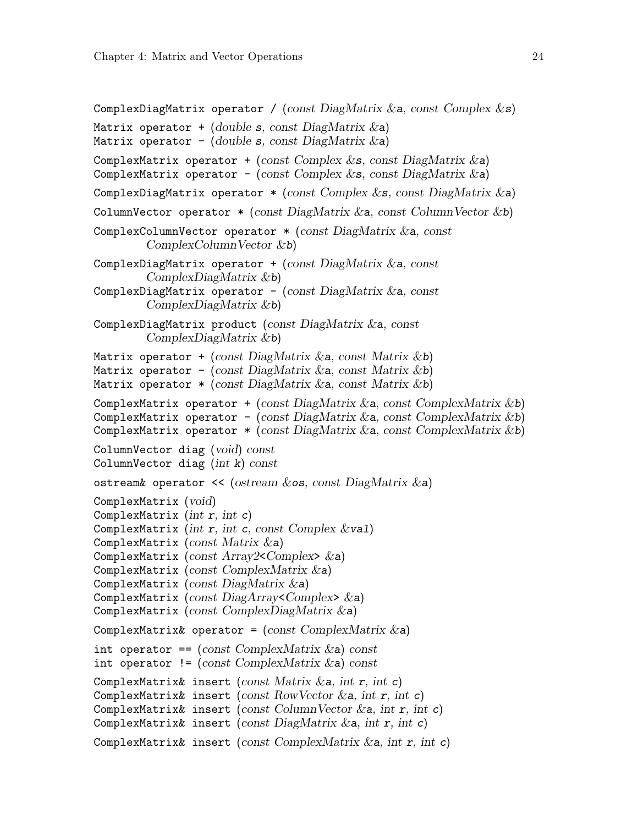```
ComplexDiagMatrix operator / (const DiagMatrix \&a, const Complex \&s)
Matrix operator + (double s, const DiagMatrix \&a)
Matrix operator - (double s, const DiagMatrix \&a)
ComplexMatrix operator + (const Complex &s, const DiagMatrix &a)
ComplexMatrix operator - (const Complex &s, const DiagMatrix &a)
ComplexDiagMatrix operator * (const Complex \&s, const DiagMatrix \&a)
ColumnVector operator *(\text{const } \text{DiagMatrix } \&a, \text{const } \text{ColumnVector } \&b)ComplexColumnVector operator * (const DiagMatrix &a, const
         ComplexColumnVector &b)
ComplexDiagMatrix operator + (const \text{ DiagMatrix} \&a, \text{ const}ComplexDiagMatrix &b)
ComplexDiagMatrix operator - (const DiagMatrix \&a, const
         ComplexDiagMatrix &b)
ComplexDiagMatrix product (const DiagMatrix \&a, const
         ComplexDiagMatrix &b)
Matrix operator + (const DiagMatrix &a, const Matrix &b)
Matrix operator - (const DiagMatrix & a, const Matrix & b)
Matrix operator *(\text{const } \text{DiagMatrix} \& a, \text{const } \text{Matrix} \& b)ComplexMatrix operator + (const DiagMatrix & a, const ComplexMatrix & b)
ComplexMatrix operator - (const DiagMatrix &a, const ComplexMatrix &b)
ComplexMatrix operator *(\text{const } \text{DiagMatrix } \& \text{a}, \text{const } \text{ComplexMatrix } \& \text{b})ColumnVector diag (void) const
ColumnVector diag (int k) const
ostream& operator << (ostream &os, const DiagMatrix &a)
ComplexMatrix (void)
ComplexMatrix (int r, int c)
ComplexMatrix (int r, int c, const Complex &val)
ComplexMatrix (const Matrix &a)
ComplexMatrix (const Array2 < Complex > \&a)
ComplexMatrix (const ComplexMatrix &a)
ComplexMatrix (const DiagMatrix &a)
ComplexMatrix (const DiagArray<Complex>)
ComplexMatrix (const ComplexDiagMatrix &a)
ComplexMatrix& operator = (const \; ComplexMatrix \; & a)int operator == \text{(const } \text{ComplexMatrix } \&a) \text{ const}int operator != (const \text{ ComplexMatrix } \&a) \text{ const}ComplexMatrix& insert (const Matrix \&a, int r, int c)
ComplexMatrix& insert (const RowVector \&a, int r, int c)
ComplexMatrix& insert (const ColumnVector \&a, int r, int c)
ComplexMatrix& insert (const DiagMatrix \&a, int r, int c)
ComplexMatrix& insert (const ComplexMatrix \&a, int r, int c)
```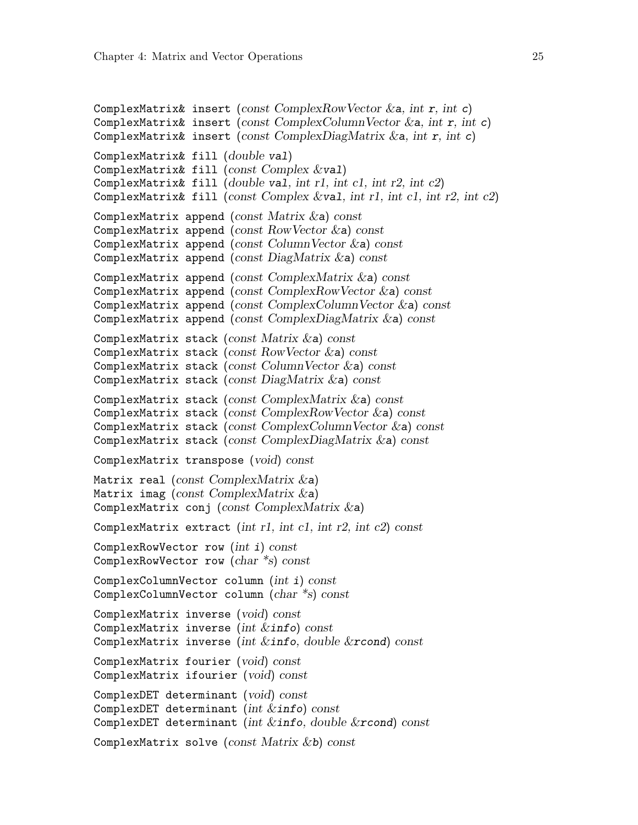```
ComplexMatrix& insert (const ComplexRowVector \&a, int r, int c)
ComplexMatrix& insert (const ComplexColumnVector & a, int r, int c))
ComplexMatrix& insert (const ComplexDiagMatrix \&a, int r, int c)
ComplexMatrix& fill (double val)
ComplexMatrix& fill (const Complex &val)
ComplexMatrix& fill (double val, int r1, int c1, int r2, int c2)
ComplexMatrix& fill (const Complex \&\text{val}, int r1, int r1, int r2, int c2)
ComplexMatrix append (const Matrix \&a) const
ComplexMatrix append (const RowVector \&a) const
ComplexMatrix append (const ColumnVector \&a) const
ComplexMatrix append (const DiagMatrix &a) const
ComplexMatrix append (const ComplexMatrix &a) const
ComplexMatrix append (const ComplexRowVector \&a) const
ComplexMatrix append (const ComplexColumnVector &a) const
ComplexMatrix append (const ComplexDiagMatrix &a) const
ComplexMatrix stack (const Matrix \&a) const
ComplexMatrix stack (const RowVector \&a) constComplexMatrix stack (const ColumnVector \&a) const
ComplexMatrix stack (const DiagMatrix \&a) const
ComplexMatrix stack (const ComplexMatrix \&a) const
ComplexMatrix stack (const ComplexRowVector &a) const
ComplexMatrix stack (const ComplexColumnVector \&a) const
ComplexMatrix stack (const ComplexDiagMatrix &a) const
ComplexMatrix transpose (void) const
Matrix real (const ComplexMatrix \&a)
Matrix imag (const ComplexMatrix \&a)
ComplexMatrix conj (const ComplexMatrix &a)
ComplexMatrix extract (int r1, int c1, int r2, int c2) const
ComplexRowVector row (int i) const
ComplexRowVector row (char *s) const
ComplexColumnVector column (int i) const
ComplexColumnVector column (char *s) const
ComplexMatrix inverse (void) const
ComplexMatrix inverse (int &info) const
ComplexMatrix inverse (int &info, double &rcond) const
ComplexMatrix fourier (void) const
ComplexMatrix ifourier (void) const
ComplexDET determinant (void) const
ComplexDET determinant (int &info) const
ComplexDET determinant (int &info, double &rcond) const
ComplexMatrix solve (const Matrix &b) const
```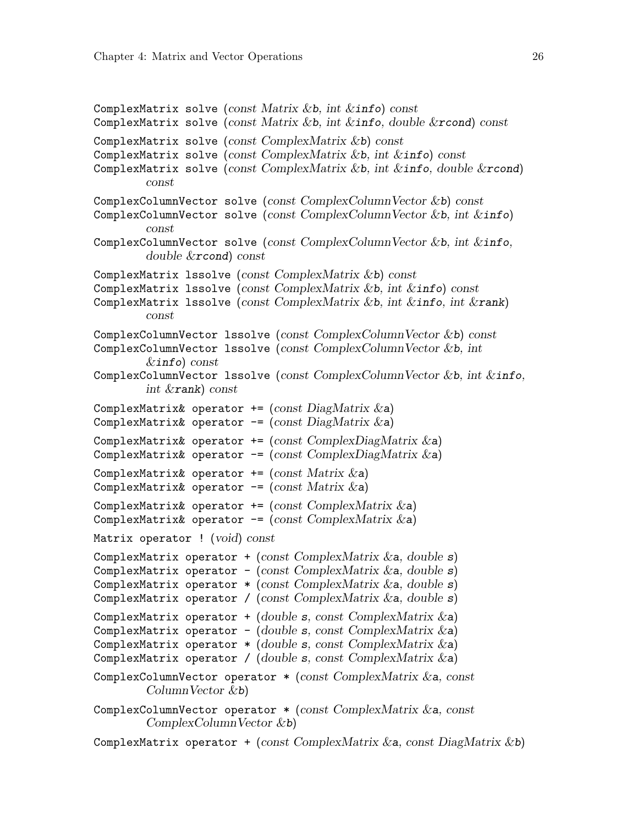```
ComplexMatrix solve (const Matrix &b, int &\text{info}) const
ComplexMatrix solve (const Matrix &b, int &\text{info}, double &\text{rcond}) const
ComplexMatrix solve (const ComplexMatrix &b) const
ComplexMatrix solve (const ComplexMatrix &b, int &info) const
ComplexMatrix solve (const ComplexMatrix &b, int &info, double &ircond)
        const
ComplexColumnVector solve (const ComplexColumnVector &b) const
ComplexColumnVector solve (const ComplexColumnVector &b, int &info)
        const
ComplexColumnVector solve (const ComplexColumnVector &b, int &info,
        double &rcond) const
ComplexMatrix lssolve (const ComplexMatrix &b) const
ComplexMatrix lssolve (const ComplexMatrix &b, int &info) const
ComplexMatrix 1ssolve (const ComplexMatrix &b, int &info, int &rank)
        const
ComplexColumnVector lssolve (const ComplexColumnVector &b) const
ComplexColumnVector 1ssolve (const ComplexColumnVector &b, int
        &info) const
ComplexColumnVector 1ssolve (const ComplexColumnVector &b, int &info,
        int &rank) const
ComplexMatrix& operator += (const DiagMatrix &a)
ComplexMatrix& operator -= (const DiagMatrix &a)
ComplexMatrix& operator += (const ComplexDiagMatrix &a)
ComplexMatrix& operator -= (const ComplexDiagMatrix &a)
ComplexMatrix& operator += (const Matrix &a)
ComplexMatrix& operator -= (const Matrix \&a)
ComplexMatrix& operator += (const ComplexMatrix \&a)
ComplexMatrix& operator -= (const ComplexMatrix &a)
Matrix operator ! (void) const
ComplexMatrix operator + (const ComplexMatrix \&a, double s)
ComplexMatrix operator - (const ComplexMatrix \&a, double s))
ComplexMatrix operator *(const \text{ ComplexMatrix } \&a, \text{ double } s)ComplexMatrix operator / (const ComplexMatrix &a, double s)
ComplexMatrix operator + (double s, const ComplexMatrix \&a)
ComplexMatrix operator - (double s, const ComplexMatrix \&a)
ComplexMatrix operator *(double s, const ComplexMatrix & a)ComplexMatrix operator / (double s, const ComplexMatrix \&a)ComplexColumnVector operator * (const ComplexMatrix &a, const
        ColumnVector &b)
ComplexColumnVector operator * (const ComplexMatrix &a, const
        ComplexColumnVector &b)
ComplexMatrix operator + (const ComplexMatrix \&a, const DiagMatrix \&b)
```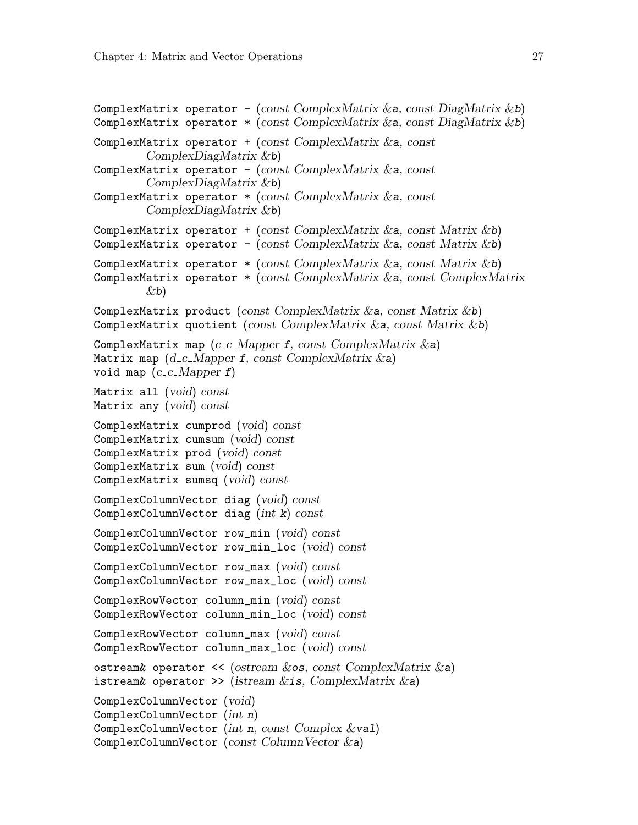```
ComplexMatrix operator - (const ComplexMatrix &a, const DiagMatrix &b)
ComplexMatrix operator *(\text{const } \text{ComplexMatrix } \& \text{a}, \text{const } \text{DiagMatrix } \& \text{b})ComplexMatrix operator +(const \text{ ComplexMatrix} \&a, \text{const}ComplexDiagMatrix &b)
ComplexMatrix operator - (const ComplexMatrix \&a, const
         ComplexDiagMatrix &b)
ComplexMatrix operator * (const ComplexMatrix &a, const
         ComplexDiagMatrix &b)
ComplexMatrix operator + (const ComplexMatrix &a, const Matrix &b)
ComplexMatrix operator - (const ComplexMatrix &a, const Matrix &b)
ComplexMatrix operator *(\text{const } \text{ComplexMatrix } \&a, \text{ const } \text{Matrix } \&b)ComplexMatrix operator * (const ComplexMatrix &a, const ComplexMatrix
         \&b)ComplexMatrix product (const ComplexMatrix &a, const Matrix &b)
ComplexMatrix quotient (const ComplexMatrix \&a, const Matrix \&b))
ComplexMatrix map (c_c Mapper f, const ComplexMatrix & a)Matrix map (d_c_M) Mapper f, const ComplexMatrix \&a)void map (c_c C_M)Matrix all (void) const
Matrix any (void) const
ComplexMatrix cumprod (void) const
ComplexMatrix cumsum (void) const
ComplexMatrix prod (void) const
ComplexMatrix sum (void) const
ComplexMatrix sumsq (void) const
ComplexColumnVector diag (void) const
ComplexColumnVector diag (int k) const
ComplexColumnVector row_min (void) const
ComplexColumnVector row_min_loc (void) const
ComplexColumnVector row_max (void) const
ComplexColumnVector row_max_loc (void) const
ComplexRowVector column_min (void) const
ComplexRowVector column_min_loc (void) const
ComplexRowVector column_max (void) const
ComplexRowVector column_max_loc (void) const
ostream& operator << (ostream &os, const ComplexMatrix &a)
istream& operator >> (istream &is, ComplexMatrix &a)
ComplexColumnVector (void)
ComplexColumnVector (int n)
ComplexColumnVector (int n, const Complex &val)
ComplexColumnVector (const ColumnVector \&a)
```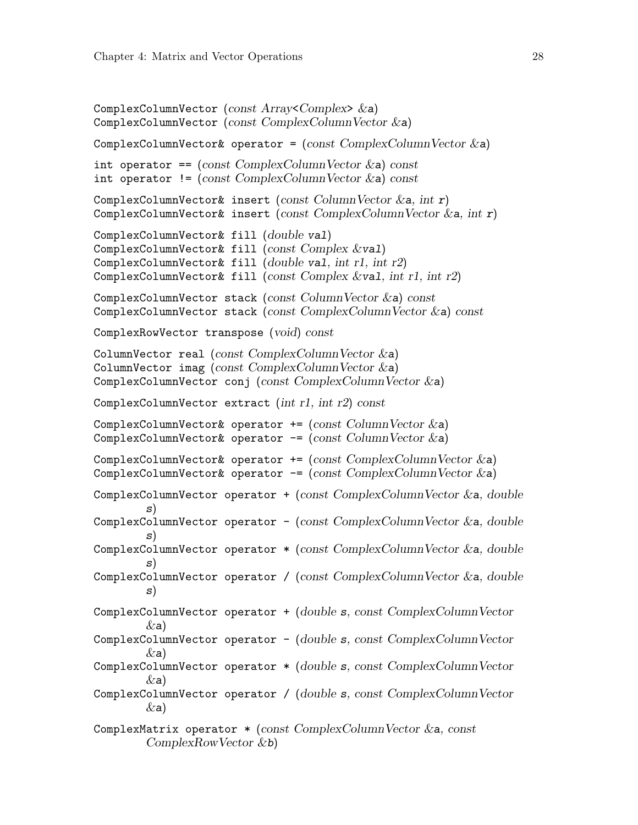```
ComplexColumnVector (const Array<Complex> &a)
ComplexColumnVector (const ComplexColumnVector &a)
ComplexColumnVector& operator = (const \text{ ComplexColumnVector } \&a)int operator == (const ComplexColumnVector \&a) const
int operator != (const ComplexColumnVector \&a) const
ComplexColumnVector& insert (const ColumnVector \&a, int r)
ComplexColumnVector& insert (const ComplexColumnVector \&a, int r)
ComplexColumnVector& fill (double val)
ComplexColumnVector& fill (const Complex &val)
ComplexColumnVector& fill (double val, int r1, int r2)
ComplexColumnVector& fill (const Complex &val, int r1, int r2)
ComplexColumnVector stack (const ColumnVector &a) const
ComplexColumnVector stack (const ComplexColumnVector &a) const
ComplexRowVector transpose (void) const
ColumnVector real (const ComplexColumnVector \&a))
ColumnVector imag (const ComplexColumnVector &a)
ComplexColumnVector conj (const ComplexColumnVector &a)
ComplexColumnVector extract (int r1, int r2) const
ComplexColumnVector& operator += (const ColumnVector &a)
ComplexColumnVector& operator - (const ColumnVector &a)
ComplexColumnVector& operator += (const ComplexColumnVector &a)
ComplexColumnVector& operator - (const ComplexColumnVector &a)
ComplexColumnVector operator + (const ComplexColumnVector &a, double
        s)
ComplexColumnVector operator - (const ComplexColumnVector &a, doubles)
ComplexColumnVector operator *(const \text{ ComplexColumnVector } \&a, \text{ double})s)
ComplexColumnVector operator / (const ComplexColumnVector &a, double
        s)
ComplexColumnVector operator + (double s, const ComplexColumnVector
        (xa)ComplexColumnVector operator - (double s, const ComplexColumnVector
        \&a)
ComplexColumnVector operator * (double s, const ComplexColumnVector
        \&a)
ComplexColumnVector operator / (double s, const ComplexColumnVector
        (xa)ComplexMatrix operator *(const \text{ ComplexColumnVector } \&a, \text{ const}ComplexRowVector &b)
```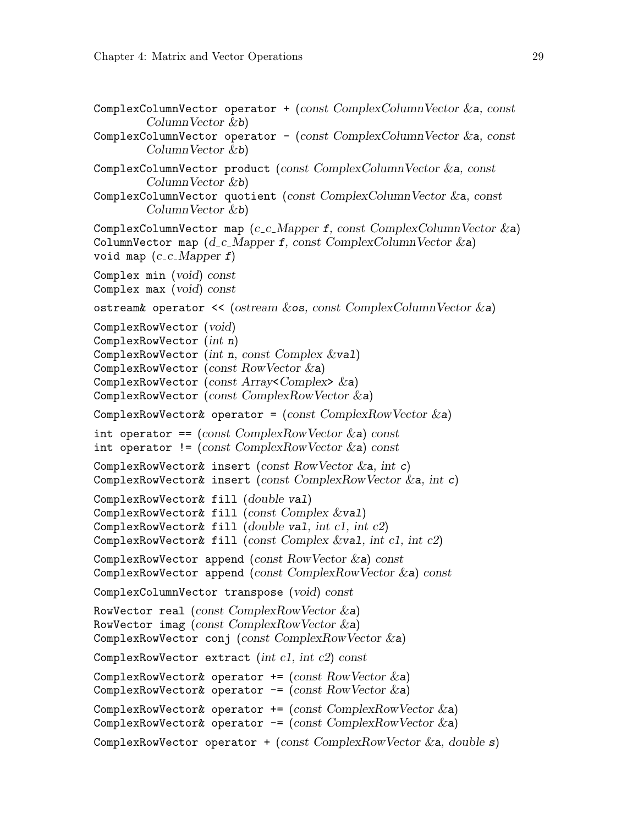```
ComplexColumnVector operator + (const ComplexColumnVector \&a, const
        ColumnVector &b)
ComplexColumnVector operator - (const ComplexColumnVector \&a, const
        ColumnVector &b)
ComplexColumnVector product (const ComplexColumnVector &a, const
        ColumnVector &b)
ComplexColumnVector quotient (const ComplexColumnVector &a, const
        ColumnVector &b)
ComplexColumnVector map (c_c_Mapper f, const ComplexColumnVector \&a))
ColumnVector map (d_c_M) Mapper f, const ComplexColumnVector \&a)void map (c_{-}c_{-}Mapper f)Complex min (void) const
Complex max (void) const
ostream& operator << (ostream &os, const ComplexColumnVector &a)
ComplexRowVector (void)
ComplexRowVector (int n)
ComplexRowVector (int n, const Complex \&\text{val})
ComplexRowVector (const RowVector &a)
ComplexRowVector (const Array<Complex>8a)
ComplexRowVector (const ComplexRowVector &a)
ComplexRowVector& operator = (const \text{ ComplexRowVector } \&a)int operator == \text{(const } \text{ComplexRowVector } \&a) \text{ const}int operator != (const ComplexRowVector \&a) const
ComplexRowVector& insert (const RowVector \&a, int c)
ComplexRowVector& insert (const ComplexRowVector &a, int c)
ComplexRowVector& fill (double val)
ComplexRowVector& fill (const Complex &val)
ComplexRowVector& fill (double val, int c1, int c2)
ComplexRowVector& fill (const Complex &val, int c1, int c2)
ComplexRowVector append (const RowVector \&a) const
ComplexRowVector append (const ComplexRowVector &a) const
ComplexColumnVector transpose (void) const
RowVector real (const ComplexRowVector \&a))
RowVector imag (const ComplexRowVector \&a))
ComplexRowVector conj (const ComplexRowVector &a)
ComplexRowVector extract (int c1, int c2) const
ComplexRowVector& operator += (const RowVector \&a)
ComplexRowVector& operator -= (const RowVector &a)
ComplexRowVector& operator + (const ComplexRowVector &a)
ComplexRowVector& operator - (const ComplexRowVector &a)
ComplexRowVector operator + (const ComplexRowVector \&a, double s)
```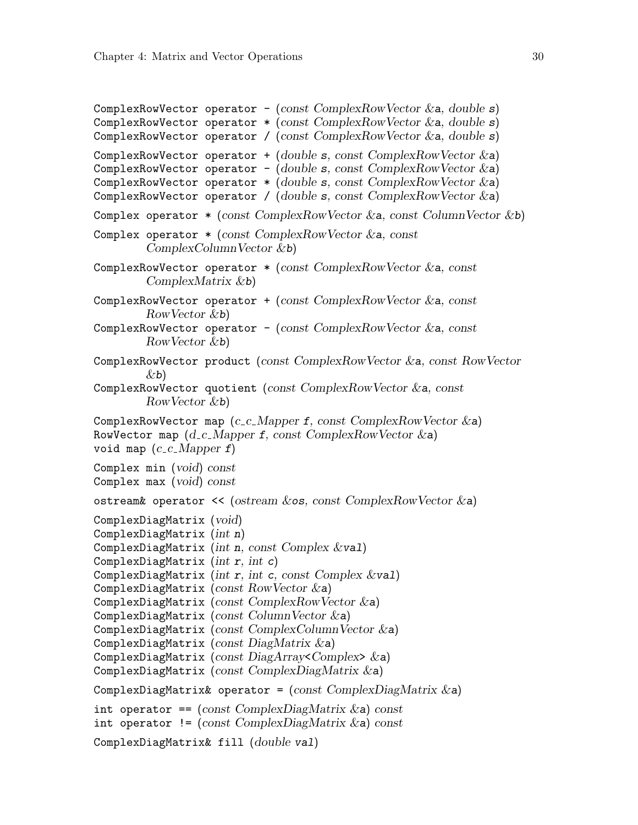```
ComplexRowVector operator - (const ComplexRowVector &a, double s)
ComplexRowVector operator *(\text{const } \text{ComplexRowVector } \&a, \text{ double } s)ComplexRowVector operator / (const ComplexRowVector &a, double s)
ComplexRowVector operator + (double s, const ComplexRowVector \&a)ComplexRowVector operator - (double s, const ComplexRowVector \&a)
ComplexRowVector operator *(double s, const ComplexRowVector & a)ComplexRowVector operator / (double s, const ComplexRowVector \&a))
Complex operator *(\text{const } \text{ComplexRowVector } \& a, \text{const } \text{ColumnVector } \& b)Complex operator *(const \text{ ComplexRowVector } \&a, \text{ const}ComplexColumnVector &b)
ComplexRowVector operator * (const ComplexRowVector &a, const
         ComplexMatrix &b)
ComplexRowVector operator + (const \text{ ComplexRowVector } \&a, \text{ const}RowVector &b)
ComplexRowVector operator - (const ComplexRowVector \&a, const
         RowVector &b)
ComplexRowVector product (const ComplexRowVector &a, const RowVector
         \&b)ComplexRowVector quotient (const ComplexRowVector &a, const
         RowVector &b)
ComplexRowVector map (c_c c_M)Mapper f, const ComplexRowVector \&a)
RowVector map (d_c_M) Mapper f, const ComplexRowVector \&a)void map (c_c c_M)Complex min (void) const
Complex max (void) const
ostream& operator << (ostream &os, const ComplexRowVector &a)
ComplexDiagMatrix (void)
ComplexDiagMatrix (int n)
ComplexDiagMatrix (int n, const Complex \&\text{val})ComplexDiagMatrix (int r, int c)
ComplexDiagMatrix (int r, int c, const Complex \&\text{val})ComplexDiagMatrix (const RowVector &a)
ComplexDiagMatrix (const ComplexRowVector \&a))
ComplexDiagMatrix (const ColumnVector \&a)
ComplexDiagMatrix (const ComplexColumnVector & a)ComplexDiagMatrix (const DiagMatrix &a)
ComplexDiagMatrix (const DiagArray<Complex> &a)
ComplexDiagMatrix (const ComplexDiagMatrix &a)
ComplexDiagMatrix& operator = (const \text{ ComplexDiagMatrix} \& a)int operator == (const \text{ ComplexDiagMatrix} \& a) \text{ const}int operator != (const \text{ ComplexDiagMatrix} \& a) \text{ const}ComplexDiagMatrix& fill (double val)
```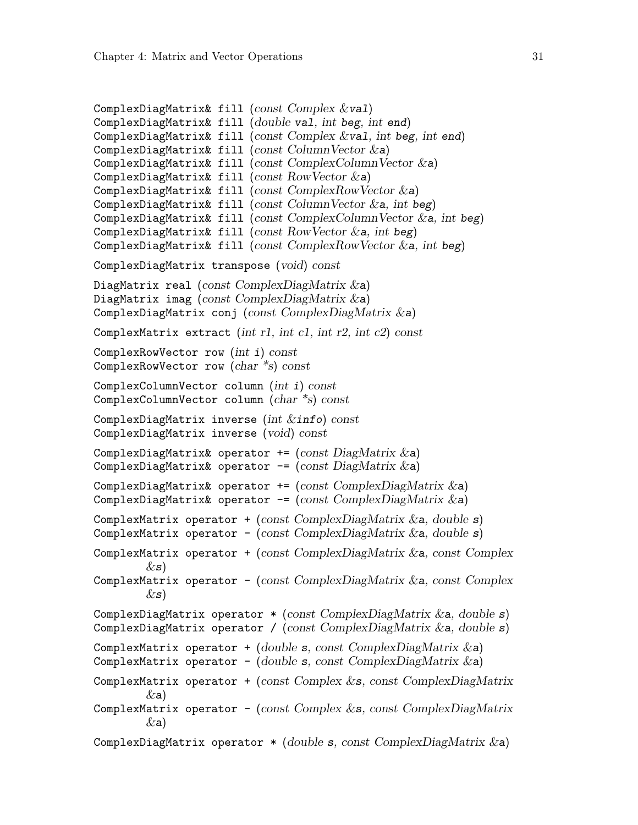```
ComplexDiagMatrix& fill (const Complex &val)
ComplexDiagMatrix& fill (double val, int beg, int end)
ComplexDiagMatrix& fill (const Complex &val, int beg, int end)
ComplexDiagMatrix& fill (const ColumnVector \&a)
ComplexDiagMatrix& fill (const ComplexColumnVector \&a))
ComplexDiagMatrix& fill (const RowVector &a)
ComplexDiagMatrix& fill (const ComplexRowVector &a)
ComplexDiagMatrix& fill (const ColumnVector &a, int beg)
ComplexDiagMatrix& fill (const ComplexColumnVector &a, int beg)
ComplexDiagMatrix& fill (const RowVector &a, int beg)
ComplexDiagMatrix& fill (const ComplexRowVector \&a, int beg)
ComplexDiagMatrix transpose (void) const
DiagMatrix real (const ComplexDiagMatrix \&a)
DiagMatrix imag (const ComplexDiagMatrix \&a)
ComplexDiagMatrix conj (const ComplexDiagMatrix &a)
ComplexMatrix extract (int r1, int c1, int r2, int c2) const
ComplexRowVector row (int i) const
ComplexRowVector row (char *s) const
ComplexColumnVector column (int i) const
ComplexColumnVector column (char *s) const
ComplexDiagMatrix inverse (int &info) const
ComplexDiagMatrix inverse (void) const
ComplexDiagMatrix& operator += (const DiagMatrix \&a)
ComplexDiagMatrix& operator -= (const DiagMatrix &a)
ComplexDiagMatrix& operator += (const ComplexDiagMatrix \&a)
ComplexDiagMatrix& operator -= (const ComplexDiagMatrix &a)
ComplexMatrix operator + (const ComplexDiagMatrix \&a, double s)
ComplexMatrix operator - (const ComplexDiagMatrix \&a, double s)
ComplexMatrix operator + (const ComplexDiagMatrix \&a, const Complex
        \&s)
ComplexMatrix operator - (const ComplexDiagMatrix &a, const Complex
        \&s)ComplexDiagMatrix operator *(\text{const } \text{ComplexDiagMatrix } \&a, \text{ double } s)ComplexDiagMatrix operator / (const ComplexDiagMatrix \&a, double s)
ComplexMatrix operator + (double s, const ComplexDiagMatrix \&a)
ComplexMatrix operator - (double s, const ComplexDiagMatrix \&a)
ComplexMatrix operator + (const Complex \&s, const ComplexDiagMatrix
        (xa)ComplexMatrix operator - (const Complex &s, const ComplexDiagMatrix
        (xa)ComplexDiagMatrix operator *(double s, const ComplexDiagMatrix & a)
```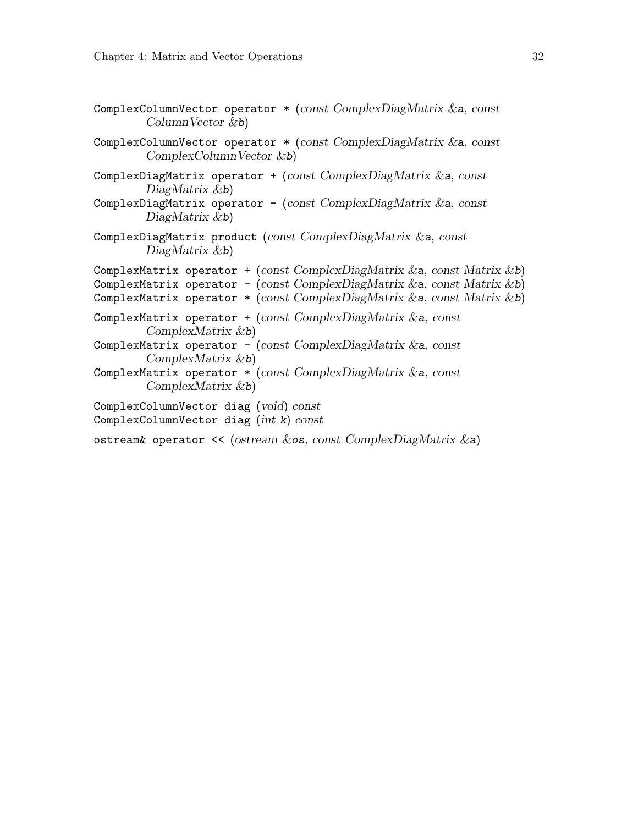<span id="page-35-0"></span>

| ComplexColumnVector operator $*(const \text{ ComplexDiagMatrix} \&a, \text{const})$<br>$ColumnVector$ &b)                                                                                                                        |
|----------------------------------------------------------------------------------------------------------------------------------------------------------------------------------------------------------------------------------|
| ComplexColumnVector operator $*(const \text{ ComplexDiagMatrix} \&a, \text{const})$<br>$ComplexColumnVector$ &b)                                                                                                                 |
| ComplexDiagMatrix operator + (const ComplexDiagMatrix $\&a$ , const<br>$DiagMatrix \&b)$<br>ComplexDiagMatrix operator - (const ComplexDiagMatrix $\&a$ , const<br>$DiagMatrix \&b)$                                             |
| ComplexDiagMatrix product (const $ComplexDiagMatrix \&a$ , const<br>$DiagMatrix \&b)$                                                                                                                                            |
| ComplexMatrix operator + (const ComplexDiagMatrix & a, const Matrix & b)<br>ComplexMatrix operator - (const ComplexDiagMatrix & a, const Matrix & b)<br>ComplexMatrix operator * (const ComplexDiagMatrix & a, const Matrix & b) |
| ComplexMatrix operator + (const $ComplexDiagMatrix \&a$ , const<br>$ComplexMatrix \&b)$<br>ComplexMatrix operator - (const ComplexDiagMatrix $\&a$ , const                                                                       |
| $ComplexMatrix \&b)$<br>ComplexMatrix operator $*(const \text{ ComplexDiagMatrix} \&a, \text{const})$<br>$ComplexMatrix \& b)$                                                                                                   |
| ComplexColumnVector diag (void) const<br>ComplexColumnVector diag $(int k)$ const                                                                                                                                                |
| ostream& operator << (ostream $\&$ os, const ComplexDiagMatrix $\&$ a)                                                                                                                                                           |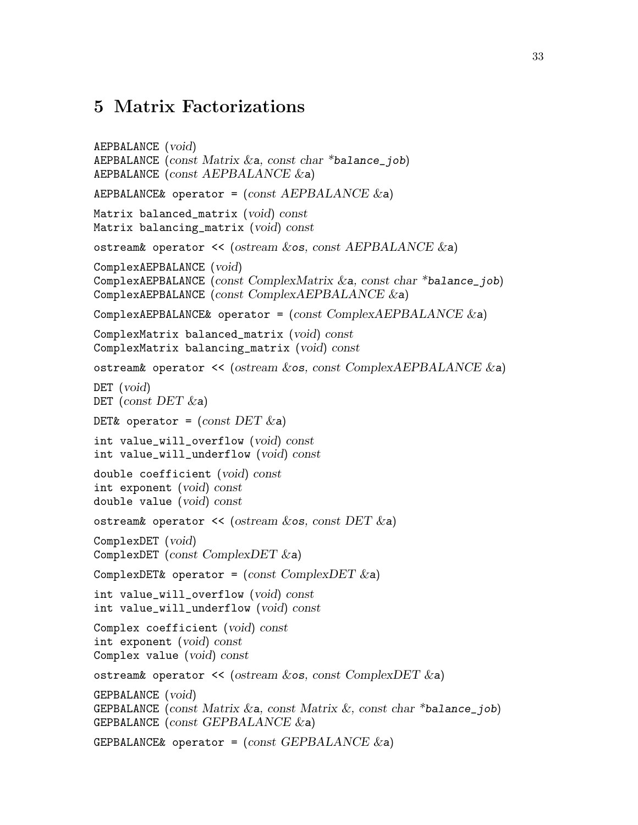#### <span id="page-36-0"></span>5 Matrix Factorizations

```
AEPBALANCE (void)
AEPBALANCE (const Matrix \&a, const char *balance_job)
AEPBALANCE (const AEPBALANCE \&a)
AEPBALANCE& operator = \text{(const} AEPBALANCE & a)
Matrix balanced_matrix (void) const
Matrix balancing_matrix (void) const
ostream& operator << (ostream &os, const AEPBALANCE &a)
ComplexAEPBALANCE (void)
ComplexAEPBALANCE (const ComplexMatrix &a, const char *balance_job)
ComplexAEPBALANCE (const ComplexAEPBALANCE &a)
ComplexAEPBALANCE& operator = (const \text{ ComplexAEPBALANCE} \& a)ComplexMatrix balanced_matrix (void) const
ComplexMatrix balancing_matrix (void) const
ostream& operator << (ostream &os, const ComplexAEPBALANCE &a)
DET (void)
DET (const DET \&a)DET& operator = (const DET \&a)int value_will_overflow (void) const
int value_will_underflow (void) const
double coefficient (void) const
int exponent (void) const
double value (void) const
ostream& operator \ll (ostream \&os, const DET \&a)
ComplexDET (void)
ComplexDET (const ComplexDET &a)
ComplexDET& operator = \text{(const ComplexDET \&a)}int value_will_overflow (void) const
int value_will_underflow (void) const
Complex coefficient (void) const
int exponent (void) const
Complex value (void) const
ostream& operator \ll (ostream \&os, const ComplexDET \&a)
GEPBALANCE (void)
GEPBALANCE (const Matrix & a, const Matrix &, const char *balance_job)
GEPBALANCE (const GEPBALANCE \&a)
GEPBALANCE& operator = (const \text{ GEPBALANCE } \&a)
```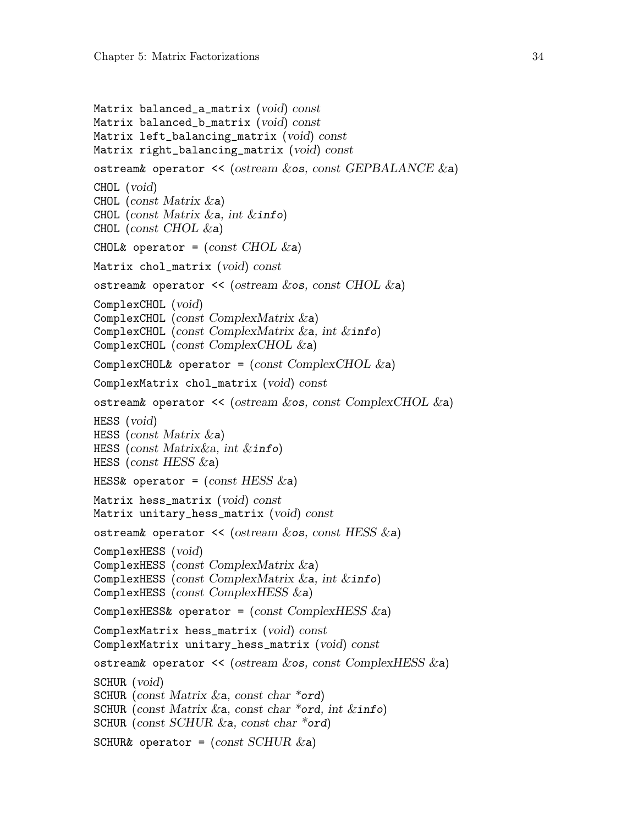```
Matrix balanced_a_matrix (void) const
Matrix balanced_b_matrix (void) const
Matrix left_balancing_matrix (void) const
Matrix right_balancing_matrix (void) const
ostream& operator \prec (ostream \&os, const GEPBALANCE \&a)
CHOL (void)
CHOL (const Matrix \&a))
CHOL (const Matrix \&a, int \&\text{info})
CHOL (const CHOL \&a))
CHOL& operator = \text{(const } \text{CHOL} \&a)Matrix chol_matrix (void) const
ostream& operator \langle\langle\ \rangle (ostream \& os, const CHOL \& a)
ComplexCHOL (void)
ComplexCHOL (const ComplexMatrix &a)
ComplexCHOL (const ComplexMatrix \&a, int \&info)
ComplexCHOL (const ComplexCHOL &a)
ComplexCHOL& operator = (const \text{ ComplexCHOL} \&a)ComplexMatrix chol_matrix (void) const
ostream& operator << (ostream &os, const ComplexCHOL &a)
HESS (void)
HESS (const Matrix \&a))
HESS (const Matrix \&a, int \&\ info)
HESS (const HESS \&a))
HESS& operator = (const \, HESS \&a)Matrix hess_matrix (void) const
Matrix unitary_hess_matrix (void) const
ostream& operator << (ostream &os, const HESS &a)
ComplexHESS (void)
ComplexHESS (const ComplexMatrix &a)
ComplexHESS (const ComplexMatrix &a, int &info)
ComplexHESS (const ComplexHESS &a)
ComplexHESS& operator = (const ComplexHESS \&a)ComplexMatrix hess_matrix (void) const
ComplexMatrix unitary_hess_matrix (void) const
ostream& operator \langle\langle\angle(0stream \& \circ s, const \& \circ ComplexHESS \& a\rangle)SCHUR (void)
SCHUR (const Matrix \&a, const char *ord)
SCHUR (const Matrix & a, const char *ord, int \&info)
SCHUR (const SCHUR \&a, const char *ord)
SCHUR& operator = \text{(const SCHUR &a)}
```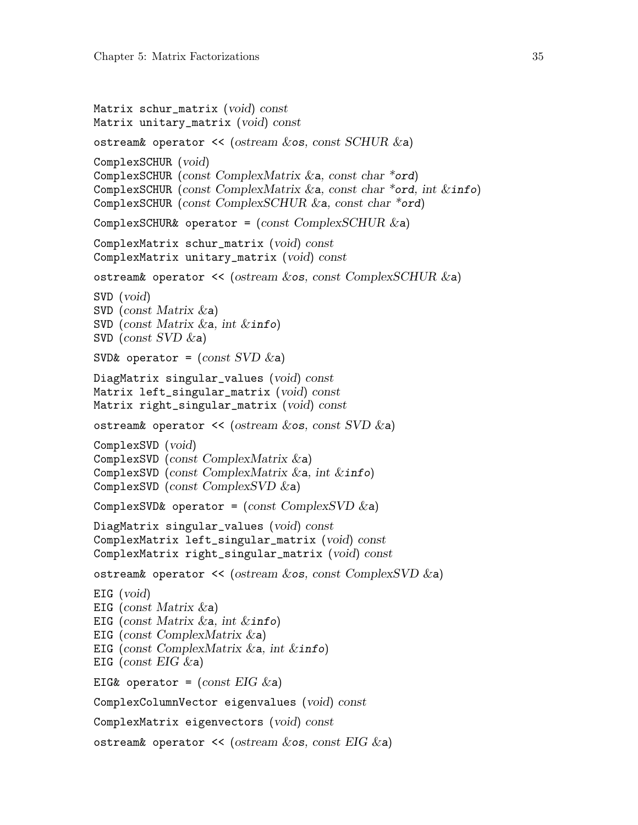```
Matrix schur_matrix (void) const
Matrix unitary_matrix (void) const
ostream& operator \ll (ostream \&os, const SCHUR \&a)
ComplexSCHUR (void)
ComplexSCHUR (const ComplexMatrix &a, const char *ord)
ComplexSCHUR (const ComplexMatrix \&a, const char *ord, int \&\text{info})
ComplexSCHUR (const ComplexSCHUR &a, const char *ord)
ComplexSCHUR& operator = (const \text{ Complex}SCHUR \& a)ComplexMatrix schur_matrix (void) const
ComplexMatrix unitary_matrix (void) const
ostream& operator << (ostream &os, const ComplexSCHUR &a)
SVD (void)
SVD (const Matrix \&a))
SVD (const Matrix &a, int &info)
SVD (const SVD \&a))
SVD& operator = (const SVD \&a)DiagMatrix singular_values (void) const
Matrix left_singular_matrix (void) const
Matrix right_singular_matrix (void) const
ostream& operator \ll (ostream \&os, const SVD \&a)
ComplexSVD (void)
ComplexSVD (const ComplexMatrix &a)
ComplexSVD (const ComplexMatrix \&a, int \&info)
ComplexSVD (const ComplexSVD \&a))
ComplexSVD& operator = (const \text{ ComplexSVD} \& a)DiagMatrix singular_values (void) const
ComplexMatrix left_singular_matrix (void) const
ComplexMatrix right_singular_matrix (void) const
ostream& operator << (ostream &os, const ComplexSVD &a)
EIG (void)
EIG (const Matrix &a)
EIG (const Matrix \&a, int \&info)
EIG (const ComplexMatrix &a)
EIG (const ComplexMatrix \&a, int \&info)
EIG (const EIG \&a)
EIG& operator = (const \text{ EIG } \&a)ComplexColumnVector eigenvalues (void) const
ComplexMatrix eigenvectors (void) const
ostream& operator \prec (ostream \&os, const EIG \&a)
```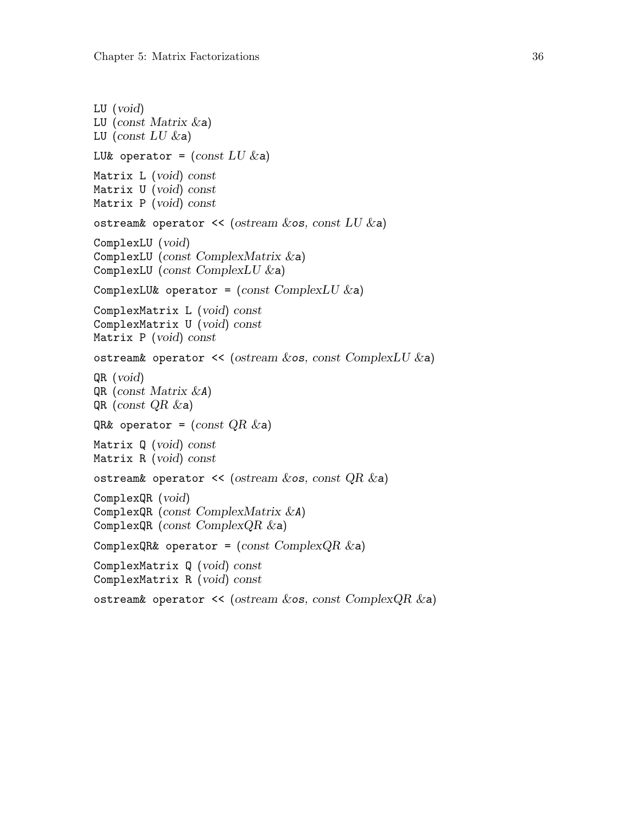```
LU (void)
LU (const Matrix \&a))
LU (const LU \&a)LU& operator = \text{(const }LU \&a)Matrix L (void) const
Matrix U (void) const
Matrix P (void) const
ostream& operator \ll (ostream \&os, const LU \&a)
ComplexLU (void)
ComplexLU (const ComplexMatrix &a)
ComplexLU (const ComplexLU \&a)ComplexLU& operator = (const \; ComplexLU \&a)ComplexMatrix L (void) const
ComplexMatrix U (void) const
Matrix P (void) const
ostream& operator \ll (ostream \&os, const ComplexLU \&a)
QR (void)
QR (const Matrix &A)
QR (const QR &a)
QR& operator = (const \t QR \&a)Matrix Q (void) const
Matrix R (void) const
ostream& operator << (ostream &os, const QR &ComplexQR (void)
ComplexQR (const ComplexMatrix &A)
ComplexQR (const ComplexQR & a)
ComplexQR& operator = (const \text{ Complex}QR \&a)ComplexMatrix Q (void) const
ComplexMatrix R (void) const
ostream& operator \prec (ostream \&os, const ComplexQR \&a)
```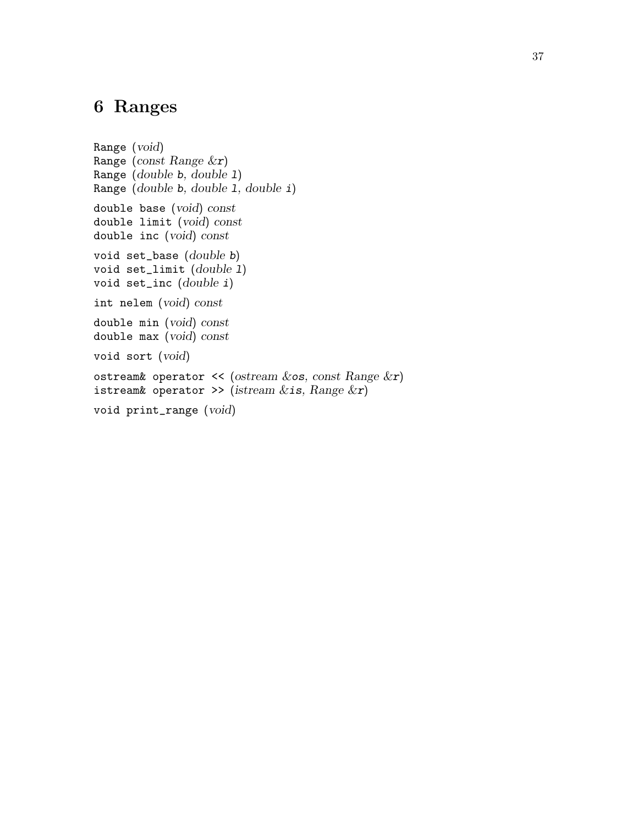### <span id="page-40-0"></span>6 Ranges

Range (void) Range (const Range &r) Range (double b, double l) Range (double b, double l, double i) double base (void) const double limit (void) const double inc (void) const void set\_base (double b) void set\_limit (double 1) void set\_inc (double i) int nelem (void) const double min (void) const double max (void) const void sort (void) ostream& operator << (ostream  $&cos$ , const Range  $&x$ ) istream& operator >> (istream  $&$ is, Range  $&$ r) void print\_range (void)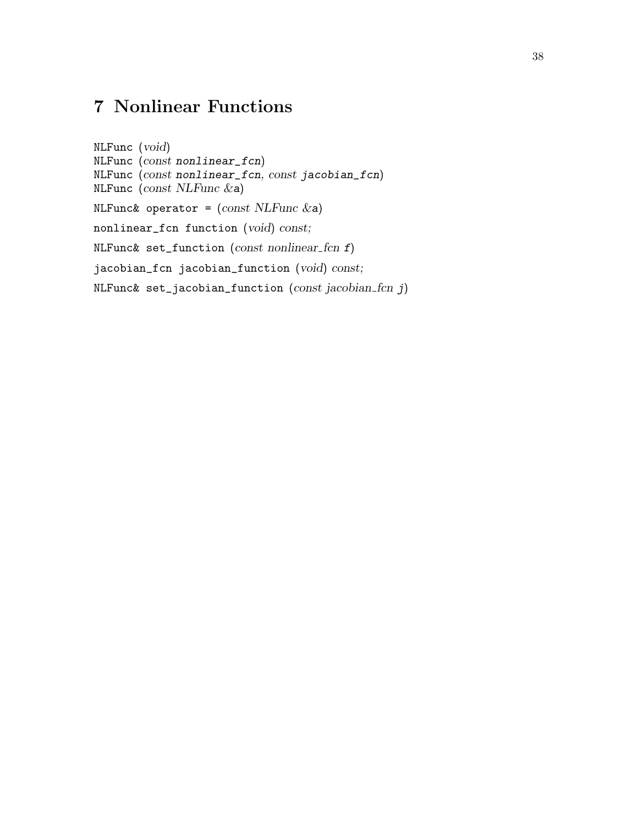# <span id="page-41-0"></span>7 Nonlinear Functions

NLFunc (void) NLFunc (const nonlinear\_fcn) NLFunc (const nonlinear\_fcn, const jacobian\_fcn) NLFunc (const NLFunc &a) NLFunc& operator =  $(const$  NLFunc  $\&a)$ nonlinear\_fcn function (void) const; NLFunc& set\_function (const nonlinear\_fcn  $f$ ) jacobian\_fcn jacobian\_function (void) const; NLFunc& set\_jacobian\_function  $(const\;jacobian\_for\;j)$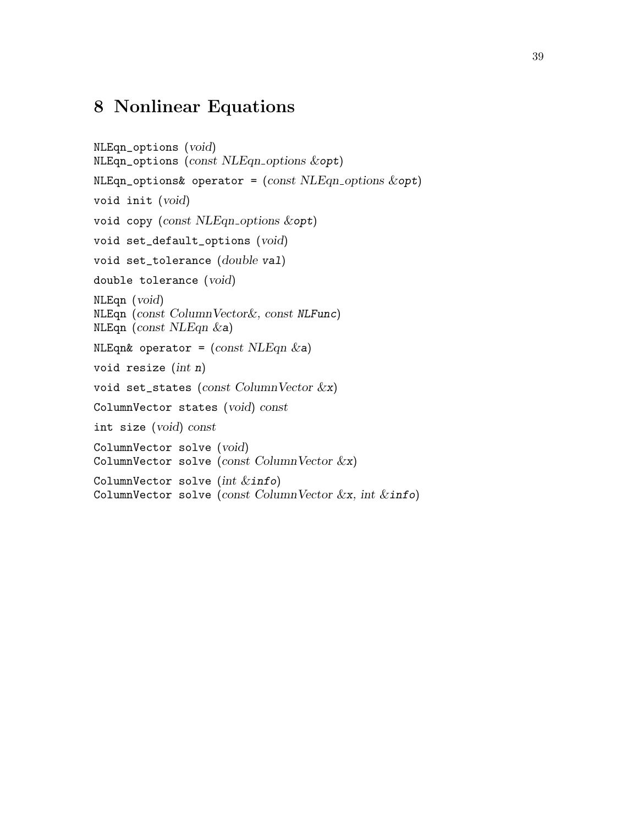### <span id="page-42-0"></span>8 Nonlinear Equations

```
NLEqn_options (void)
NLEqn_options (const NLEqn_options &opt)
NLEqn_-options\& operator = (const NLEqn_-options \&opt)
void init (void)
void copy (const NLEqn options &opt)
void set_default_options (void)
void set_tolerance (double val)
double tolerance (void)
NLEqn (void)
NLEqn (const ColumnVector&, const NLFunc)
NLEqn (const NLEqn &a)
NLEqn& operator = (const \text{ NLEqn } \&a)void resize (int n)
void set_states (const ColumnVector &x)
ColumnVector states (void) const
int size (void) const
ColumnVector solve (void)
ColumnVector solve (const ColumnVector &x)
ColumnVector solve (int \; &ColumnVector solve (const ColumnVector &x, int &\text{info})
```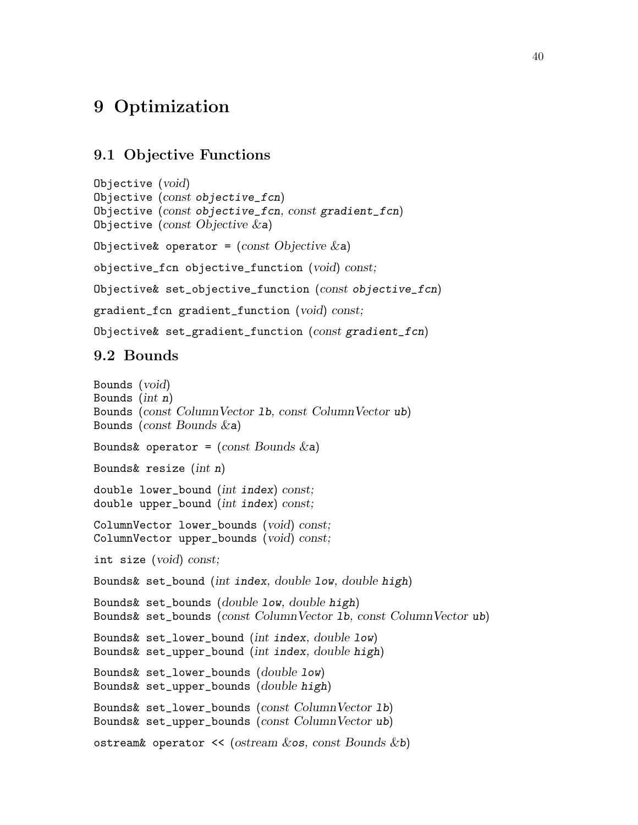### <span id="page-43-0"></span>9 Optimization

#### 9.1 Objective Functions

```
Objective (void)
Objective (const objective_fcn)
Objective (const objective_fcn, const gradient_fcn)
Objective (const Objective \&a)
Objective& operator = (const Objective \&a)objective_fcn objective_function (void) const;
Objective& set_objective_function (const objective_fcn)
gradient_fcn gradient_function (void) const;
Objective& set_gradient_function (const gradient_fcn)
```
#### 9.2 Bounds

```
Bounds (void)
Bounds (int n)Bounds (const ColumnVector lb, const ColumnVector ub)
Bounds (const Bounds \&a)
Bounds& operator = (const Bounds & a)Bounds& resize (int n)
double lower_bound (int index) const;
double upper_bound (int index) const;
ColumnVector lower_bounds (void) const;
ColumnVector upper_bounds (void) const;
int size (void) const;
Bounds& set_bound (int index, double low, double high)
Bounds& set_bounds (double low, double high)
Bounds& set_bounds (const ColumnVector lb, const ColumnVector ub)
Bounds& set_lower_bound (int index, double low)
Bounds& set_upper_bound (int index, double high)
Bounds& set_lower_bounds (double low)
Bounds& set_upper_bounds (double high)
Bounds& set_lower_bounds (const ColumnVector lb)
Bounds& set_upper_bounds (const ColumnVector ub)
ostream& operator \ll (ostream \& os, const Bounds \& b)
```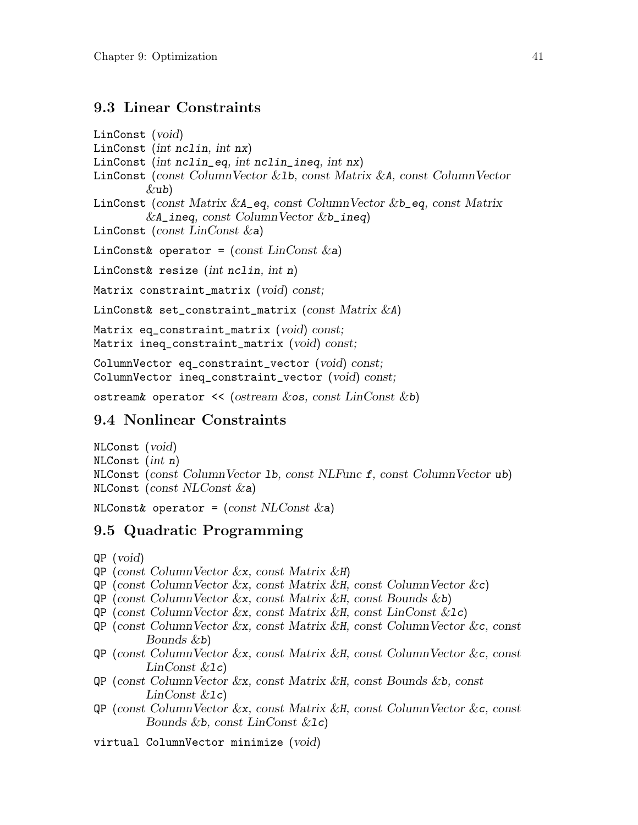#### <span id="page-44-0"></span>9.3 Linear Constraints

```
LinConst (void)
LinConst (int nclin, int nx)
LinConst (int nclin_eq, int nclin_ineq, int nx)
LinConst (const ColumnVector &lb, const Matrix &A, const ColumnVector
         (xub)LinConst (const Matrix &A_eq, const ColumnVector &b_eq, const Matrix
         &A\_ineq, const ColumnVector &b\_ineq)LinConst (const LinConst &a)
LinConst& operator = \text{(const } \text{LinConst } \&a\text{)}LinConst& resize (int nclin, int n)
Matrix constraint_matrix (void) const;
LinConst& set_constraint_matrix (const Matrix \&A)
Matrix eq_constraint_matrix (void) const;
Matrix ineq_constraint_matrix (void) const;
ColumnVector eq_constraint_vector (void) const;
ColumnVector ineq_constraint_vector (void) const;
```
ostream& operator  $\ll$  (ostream  $\&$  os, const LinConst  $\&$  b)

#### 9.4 Nonlinear Constraints

```
NLConst (void)
NLConst (int n)
NLConst (const ColumnVector lb, const NLFunc f, const ColumnVector ub)
NLConst (const NLConst &a)
```
NLConst& operator =  $(const NLConst & a)$ 

#### 9.5 Quadratic Programming

QP (void)

- QP (const ColumnVector &x, const Matrix &H)
- $QP$  (const Column Vector  $\&x$ , const Matrix  $\&H$ , const Column Vector  $\&c$ )
- $QP$  (const Column Vector  $&x$ , const Matrix  $&H$ , const Bounds  $&b$ )
- $QP$  (const Column Vector  $\&x$ , const Matrix  $\&H$ , const LinConst  $\&Ic$ )
- QP (const ColumnVector &x, const Matrix &H, const ColumnVector &c, const Bounds &b)
- QP (const ColumnVector &x, const Matrix &H, const ColumnVector &c, const  $LinConst$   $\&1c)$
- QP (const ColumnVector &x, const Matrix &H, const Bounds &b, const  $LinConst$   $&1c)$
- QP (const ColumnVector &x, const Matrix &H, const ColumnVector &c, const Bounds &b, const LinConst &lc)
- virtual ColumnVector minimize (void)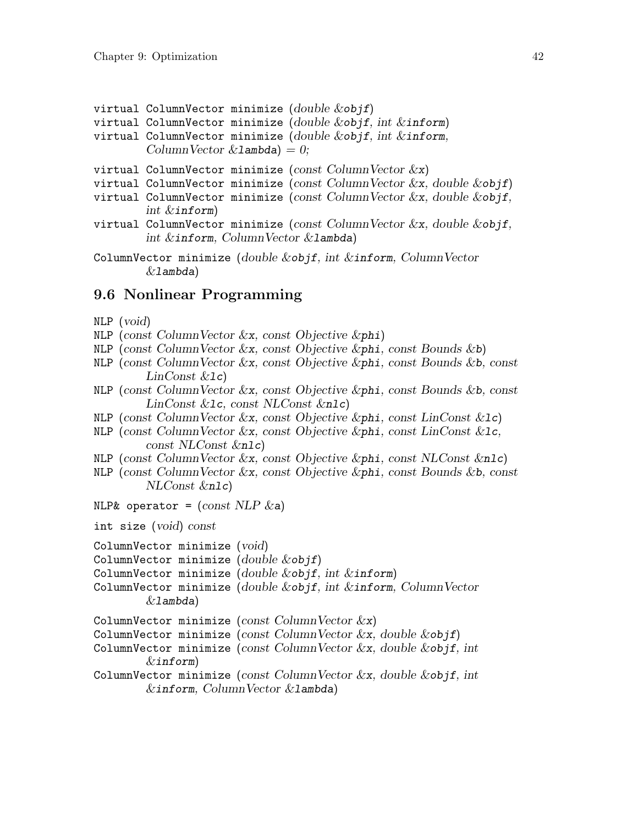<span id="page-45-0"></span>virtual ColumnVector minimize  $(double \& objf)$ virtual ColumnVector minimize (double  $&$ objf, int  $&$ inform) virtual ColumnVector minimize (double  $\&$ objf, int  $\&$ inform, ColumnVector  $&$  Lambda) = 0; virtual ColumnVector minimize (const ColumnVector  $\&x\&y$ ) virtual ColumnVector minimize (const ColumnVector  $&x,$  double  $&x$ objf) virtual ColumnVector minimize (const ColumnVector &x, double &objf, int  $&$ inform $)$ virtual ColumnVector minimize (const ColumnVector  $\&x$ , double  $\&\text{obj}$ f, int &inform, ColumnVector &lambda)

ColumnVector minimize (double &objf, int &inform, ColumnVector  $&$ lambda)

#### 9.6 Nonlinear Programming

- NLP (void)
- NLP (const ColumnVector &x, const Objective &phi)
- NLP (const ColumnVector  $\&x$ , const Objective  $\φ$ , const Bounds  $\&b$ )
- NLP (const ColumnVector &x, const Objective &phi, const Bounds &b, const  $LinConst$   $&1c)$
- NLP (const ColumnVector &x, const Objective &phi, const Bounds &b, const LinConst &lc, const NLConst &nlc)
- NLP (const ColumnVector  $\&x$ , const Objective  $\φ$ , const LinConst  $\&1c$ )
- NLP (const ColumnVector &x, const Objective &phi, const LinConst &lc, const NLConst &nlc)
- NLP (const ColumnVector &x, const Objective &phi, const NLConst &nlc)
- NLP (const ColumnVector &x, const Objective &phi, const Bounds &b, const NLConst &nlc)

```
NLP& operator = (const NLP & a)
```
int size (void) const

ColumnVector minimize (void)

```
ColumnVector minimize (double \& obif)
```

```
ColumnVector minimize (double &objf, int &inform)
```
ColumnVector minimize (double &objf, int &inform, ColumnVector  $&$ lambda)

ColumnVector minimize (const ColumnVector  $\&$ x)

```
ColumnVector minimize (const ColumnVector &x, double &xobjf)
```
- ColumnVector minimize (const ColumnVector  $&x$ , double  $&$ objf, int  $\&$ inform $)$
- ColumnVector minimize (const ColumnVector  $&x$ , double  $&$ objf, int  $&$ inform, ColumnVector  $&$ lambda)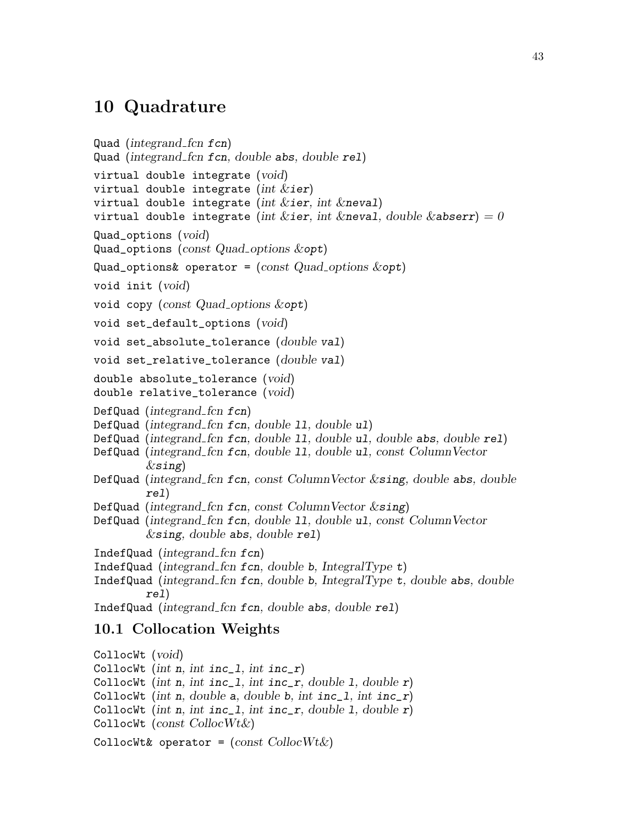#### <span id="page-46-0"></span>10 Quadrature

```
Quad (integrand fcn fcn)
Quad (integrand fcn fcn, double abs, double rel)
virtual double integrate (void)
virtual double integrate (int &ier)
virtual double integrate (int &ier, int &neval)
virtual double integrate (int &ier, int &neval, double &abserr) = 0Quad_options (void)
Quad_options (const Quad_options &opt)
Quad_options& operator = (const Quad_options &opt)
void init (void)
void copy (const Quad\_{\text{options}} &opt)
void set_default_options (void)
void set_absolute_tolerance (double val)
void set_relative_tolerance (double val)
double absolute_tolerance (void)
double relative_tolerance (void)
DefQuad (integrand fcn fcn)
DefQuad (integrand fcn fcn, double ll, double ul)
DefQuad (integrand_fcn fcn, double 11, double u1, double abs, double rel)
DefQuad (integrand_fcn fcn, double 11, double u1, const ColumnVector
         \&sing)DefQuad (integrand fcn fcn, const ColumnVector &sing, double abs, double
        rel)
DefQuad (integrand fcn fcn, const ColumnVector \&sing)
DefQuad (integrand fcn fcn, double ll, double ul, const ColumnVector
        \&sing, double abs, double rel)
IndefQuad (integrand fcn fcn)
IndefQuad (integrand fcn fcn, double b, IntegralType t)
IndefQuad (integrand fcn fcn, double b, IntegralType t, double abs, double
        rel)
IndefQuad (integrand fcn fcn, double abs, double rel)
10.1 Collocation Weights
```
CollocWt (void) CollocWt (int n, int inc\_1, int inc\_r) CollocWt (int n, int inc\_1, int inc\_r, double 1, double  $r$ ) CollocWt (int n, double a, double b, int inc\_1, int inc\_r) CollocWt (int n, int inc\_1, int inc\_r, double 1, double  $r$ ) CollocWt ( $const$  CollocWt $\&$ ) CollocWt& operator =  $\text{(const\,CollocWt\&)}$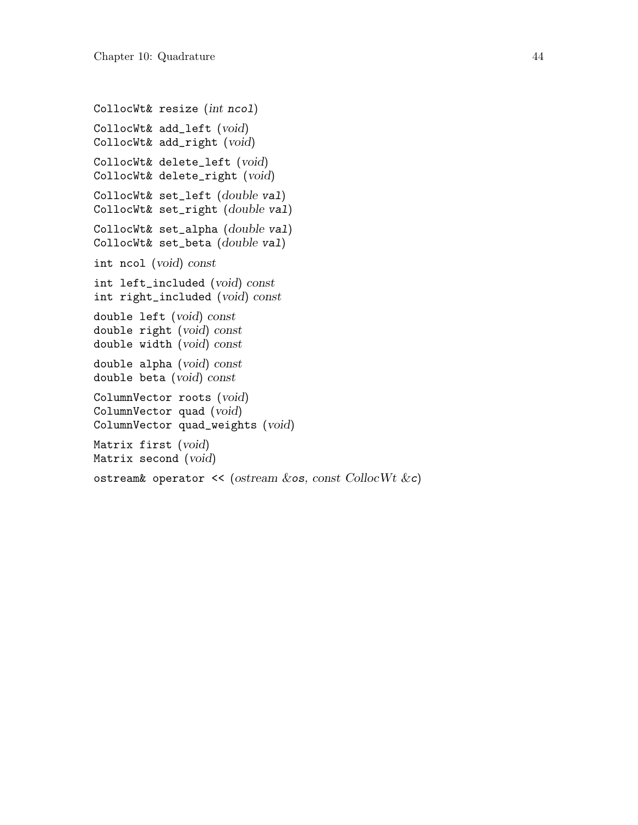```
CollocWt& resize (int ncol)
CollocWt& add_left (void)
CollocWt& add_right (void)
CollocWt& delete_left (void)
CollocWt& delete_right (void)
CollocWt& set_left (double val)
CollocWt& set_right (double val)
CollocWt& set_alpha (double val)
CollocWt& set_beta (double val)
int ncol (void) const
int left_included (void) const
int right_included (void) const
double left (void) const
double right (void) const
double width (void) const
double alpha (void) const
double beta (void) const
ColumnVector roots (void)
ColumnVector quad (void)
ColumnVector quad_weights (void)
Matrix first (void)
Matrix second (void)
ostream& operator \leq (ostream \&os, const CollocWt \&c)
```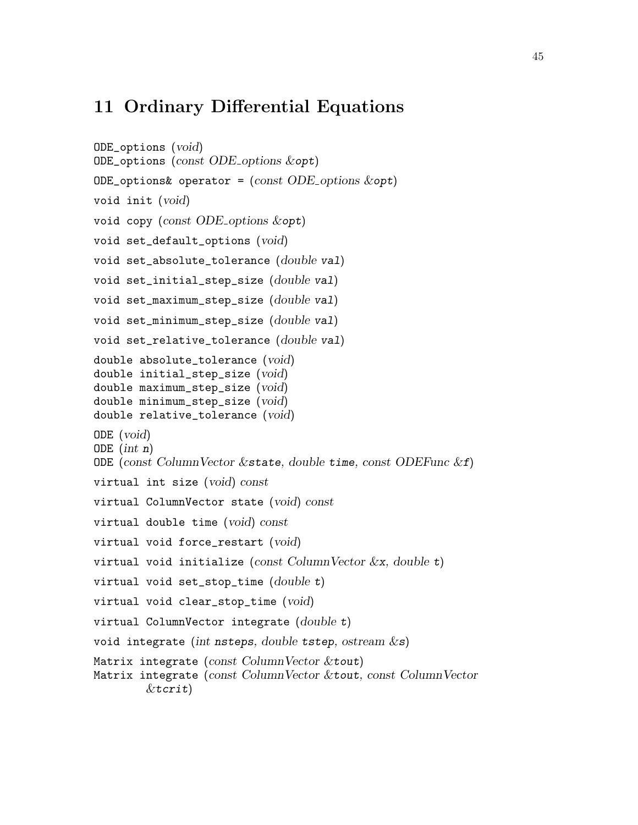#### <span id="page-48-0"></span>11 Ordinary Differential Equations

```
ODE_options (void)
ODE_options (const ODE options &opt)
ODE_options& operator = (const ODE_options &opt)
void init (void)
void copy (const ODE options &opt)
void set_default_options (void)
void set_absolute_tolerance (double val)
void set_initial_step_size (double val)
void set_maximum_step_size (double val)
void set_minimum_step_size (double val)
void set_relative_tolerance (double val)
double absolute_tolerance (void)
double initial_step_size (void)
double maximum_step_size (void)
double minimum_step_size (void)
double relative_tolerance (void)
ODE (void)
ODE (int n)ODE (const ColumnVector & state, double time, const ODEFunc &f)
virtual int size (void) const
virtual ColumnVector state (void) const
virtual double time (void) const
virtual void force_restart (void)
virtual void initialize (const ColumnVector \&x, double t)
virtual void set_stop_time (double t)virtual void clear_stop_time (void)
virtual ColumnVector integrate (double t)void integrate (int nsteps, double tstep, ostream \&s)
Matrix integrate (const ColumnVector & tout)
Matrix integrate (const ColumnVector &tout, const ColumnVector
        &\text{tr}:\downarrow
```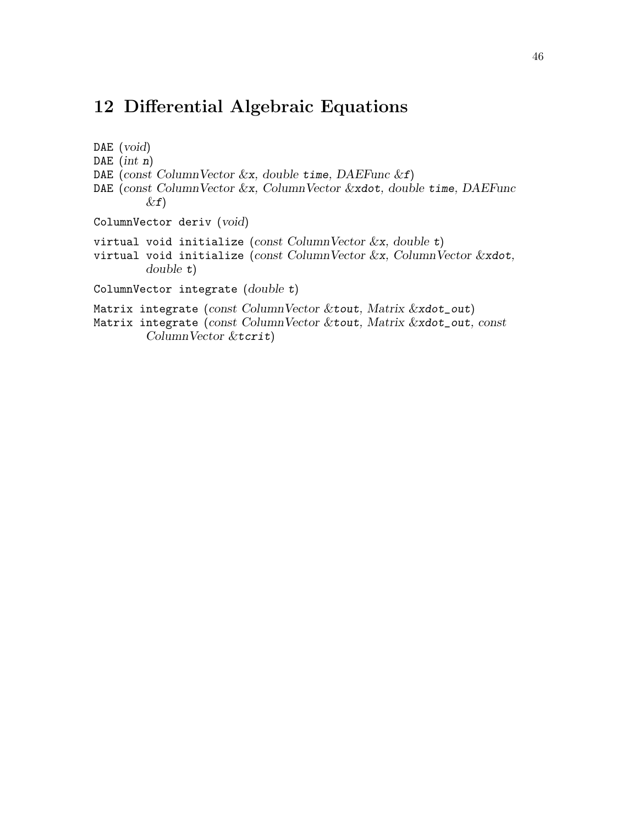### <span id="page-49-0"></span>12 Differential Algebraic Equations

DAE (void) DAE  $(int n)$ DAE (const ColumnVector  $\&x$ , double time, DAEFunc  $\&f$ ) DAE (const ColumnVector &x, ColumnVector &xdot, double time, DAEFunc  $\&$ f) ColumnVector deriv (void) virtual void initialize (const ColumnVector  $\&x$ , double t) virtual void initialize (const ColumnVector  $\&x$ , ColumnVector  $\&x$ dot, double t) ColumnVector integrate (double t) Matrix integrate (const ColumnVector &tout, Matrix &xdot\_out) Matrix integrate (const ColumnVector &tout, Matrix &xdot\_out, const ColumnVector &tcrit)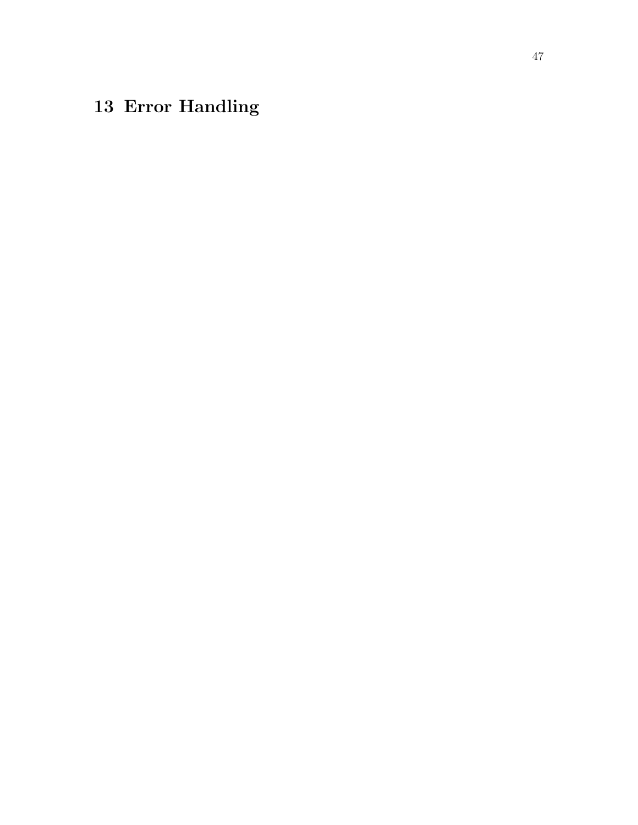# <span id="page-50-0"></span>13 Error Handling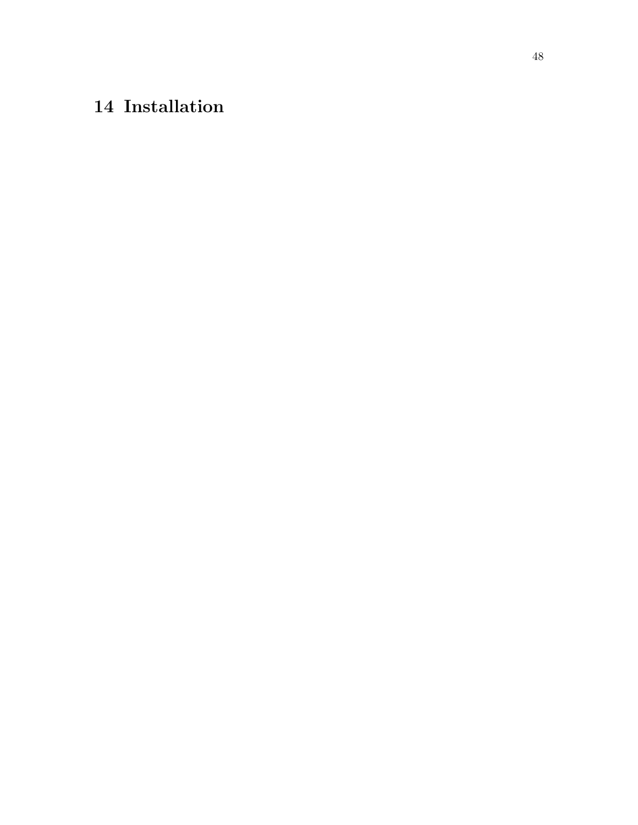# <span id="page-51-0"></span>14 Installation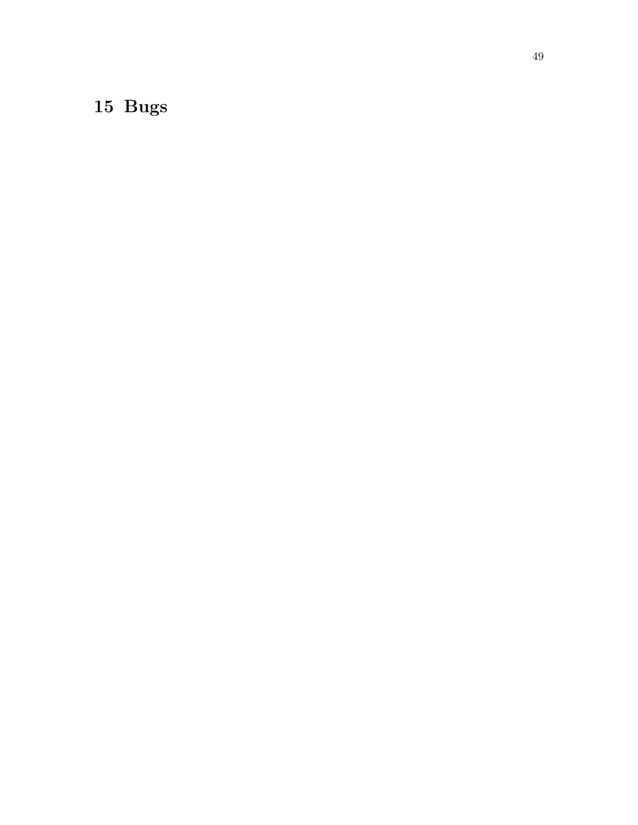# <span id="page-52-0"></span>15 Bugs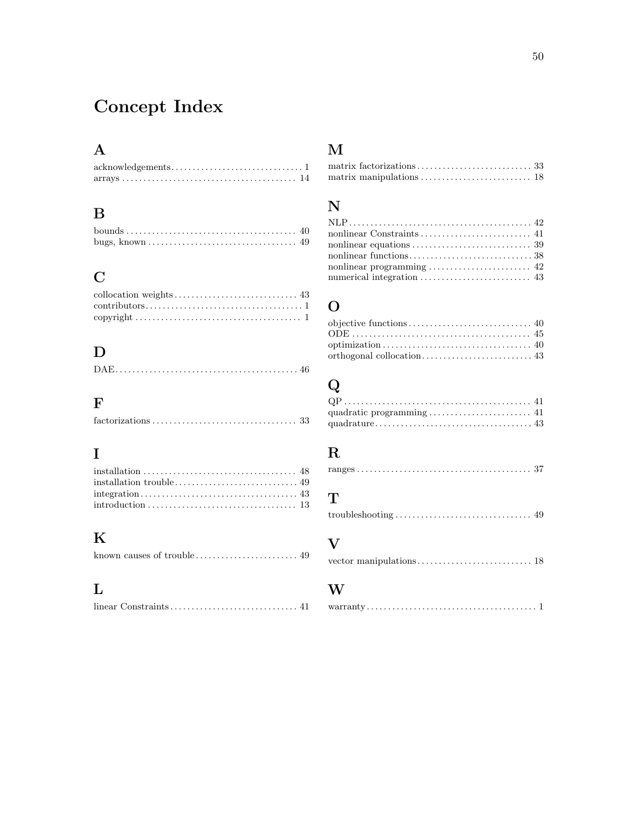# <span id="page-53-0"></span>Concept Index

# A

#### $\, {\bf B}$

| bugs, known $\dots \dots \dots \dots \dots \dots \dots \dots \dots \dots \dots \dots \dots$ |  |
|---------------------------------------------------------------------------------------------|--|

### C

| $\text{contributions} \dots \dots \dots \dots \dots \dots \dots \dots \dots \dots \dots \dots \dots$ |
|------------------------------------------------------------------------------------------------------|
|                                                                                                      |

### D

|--|--|

### F

| $factorizations \ldots \ldots \ldots \ldots \ldots \ldots \ldots \ldots \ldots \ldots \ldots \ldots 33$ |  |  |  |  |  |  |  |  |  |  |  |  |  |  |
|---------------------------------------------------------------------------------------------------------|--|--|--|--|--|--|--|--|--|--|--|--|--|--|
|                                                                                                         |  |  |  |  |  |  |  |  |  |  |  |  |  |  |

### I

# K

### L

#### M

#### N

# O

# Q

### ${\bf R}$

#### T

```
troubleshooting . . . . . . . . . . . . . . . . . . . . . . . . . . . . . . . . 49
```
### V

```
vector manipulations . . . . . . . . . . . . . . . . . . . . . . . . . . . 18
```
#### W

|--|--|--|--|--|--|--|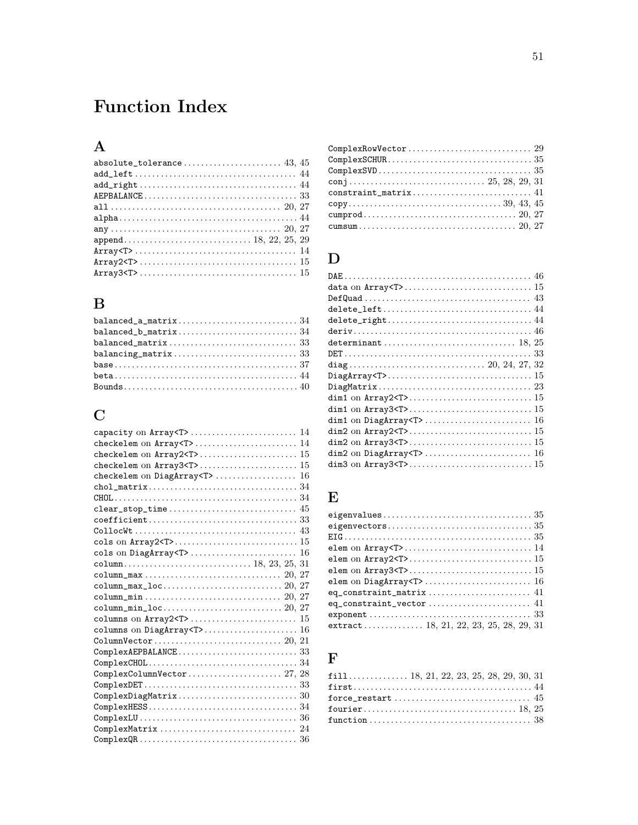# <span id="page-54-0"></span>**Function Index**

# $\mathbf A$

# $\, {\bf B}$

| $balanced_a_matrix \ldots \ldots \ldots \ldots \ldots \ldots \ldots \ldots \, 34$ |  |
|-----------------------------------------------------------------------------------|--|
|                                                                                   |  |
|                                                                                   |  |
|                                                                                   |  |
|                                                                                   |  |
|                                                                                   |  |
|                                                                                   |  |

# $\mathbf C$

| checkelem on DiagArray <t><br/>16</t>                                                                |
|------------------------------------------------------------------------------------------------------|
|                                                                                                      |
|                                                                                                      |
|                                                                                                      |
|                                                                                                      |
|                                                                                                      |
|                                                                                                      |
|                                                                                                      |
|                                                                                                      |
|                                                                                                      |
|                                                                                                      |
|                                                                                                      |
|                                                                                                      |
|                                                                                                      |
| columns on DiagArray <t> 16</t>                                                                      |
|                                                                                                      |
| $ComplexAEPBALANCE \ldots \ldots \ldots \ldots \ldots \ldots \ldots \ldots 33$                       |
|                                                                                                      |
|                                                                                                      |
| $ComplexDET \ldots \ldots \ldots \ldots \ldots \ldots \ldots \ldots \ldots \ldots \ldots 33$         |
| $\texttt{ComplexDiagMatrix} \dots \dots \dots \dots \dots \dots \dots \dots \dots \ 30$              |
|                                                                                                      |
| $\texttt{ComplexLU} \ldots \ldots \ldots \ldots \ldots \ldots \ldots \ldots \ldots \ldots \ldots 36$ |
|                                                                                                      |
| $\mathtt{ComplexQR}\ldots\ldots\ldots\ldots\ldots\ldots\ldots\ldots\ldots\ldots\ldots\ 36$           |

| $\verb ComplexRowVector  \dots  \dots  \dots  \dots  \dots  \dots  \dots  \  \: 29$                                                                                                                                                                                                                                                                                                                                      |  |
|--------------------------------------------------------------------------------------------------------------------------------------------------------------------------------------------------------------------------------------------------------------------------------------------------------------------------------------------------------------------------------------------------------------------------|--|
| $\verb ComplexSCHUR ,  \verb  {.} \verb  {.} \verb  {.} \verb  {.} \verb  {.} \verb  {.} \verb  {.} \verb  {.} \verb  {.} \verb  {.} \verb  {.} \verb  {.} \verb  {.} \verb  {.} \verb  {.} \verb  {.} \verb  {.} \verb  {.} \verb  {.} \verb  {.} \verb  {.} \verb  {.} \verb  {.} \verb  {.} \verb  {.} \verb  {.} \verb  {.} \verb  {.} \verb  {.} \verb  {.} \verb  {.} \verb  {.} \verb  {.} \verb  {.} \verb  {.}$ |  |
| $\mathtt{ComplexSVD}\ldots\ldots\ldots\ldots\ldots\ldots\ldots\ldots\ldots\ldots\ldots\ 35$                                                                                                                                                                                                                                                                                                                              |  |
|                                                                                                                                                                                                                                                                                                                                                                                                                          |  |
| $\texttt{constraint\_matrix} \dots \dots \dots \dots \dots \dots \dots \dots \ 41$                                                                                                                                                                                                                                                                                                                                       |  |
| ${\tt copy.}\dots\dots\dots\dots\dots\dots\dots\dots\dots\dots\dots\ 39,\ 43,\ 45$                                                                                                                                                                                                                                                                                                                                       |  |
|                                                                                                                                                                                                                                                                                                                                                                                                                          |  |
|                                                                                                                                                                                                                                                                                                                                                                                                                          |  |
|                                                                                                                                                                                                                                                                                                                                                                                                                          |  |

# $\label{eq:1} \mathbf{D}$

# $\mathbf E$

| extract 18, 21, 22, 23, 25, 28, 29, 31 |
|----------------------------------------|

### $\mathbf F$

| $fill$ 18, 21, 22, 23, 25, 28, 29, 30, 31 |  |
|-------------------------------------------|--|
|                                           |  |
|                                           |  |
|                                           |  |
|                                           |  |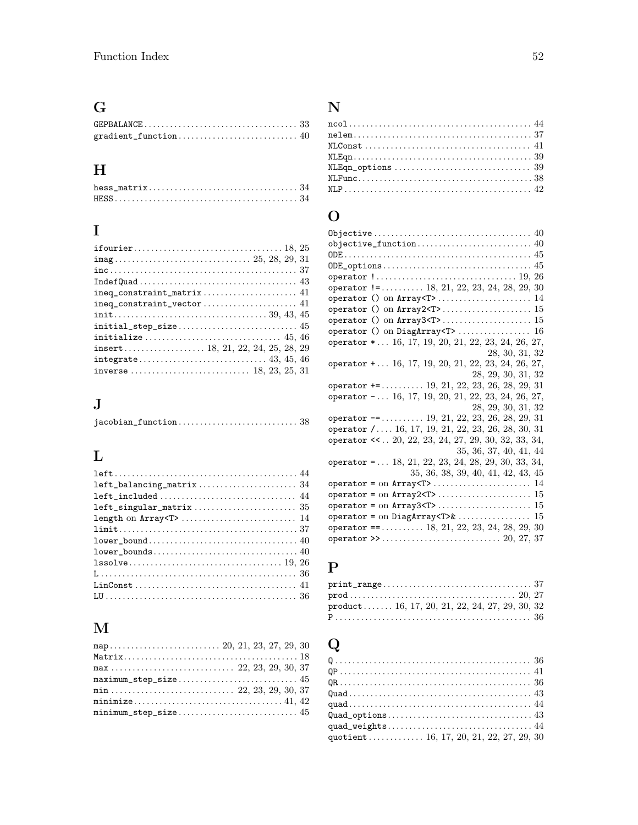# G

# $\mathbf H$

| $hess_matrix \ldots \ldots \ldots \ldots \ldots \ldots \ldots \ldots \ldots \ldots \ldots 34$ |  |  |  |  |  |  |  |  |  |  |  |
|-----------------------------------------------------------------------------------------------|--|--|--|--|--|--|--|--|--|--|--|
|                                                                                               |  |  |  |  |  |  |  |  |  |  |  |

# I

| $inc \ldots \ldots \ldots \ldots \ldots \ldots \ldots \ldots \ldots \ldots \ldots \ldots \ldots 37$ |
|-----------------------------------------------------------------------------------------------------|
|                                                                                                     |
|                                                                                                     |
|                                                                                                     |
|                                                                                                     |
|                                                                                                     |
|                                                                                                     |
|                                                                                                     |
|                                                                                                     |
|                                                                                                     |
|                                                                                                     |

# J

|--|--|--|--|--|--|

# L

| $left\_balancing\_matrix \dots \dots \dots \dots \dots \dots \dots \34$                       |
|-----------------------------------------------------------------------------------------------|
|                                                                                               |
|                                                                                               |
|                                                                                               |
| $\texttt{limit} \dots \dots \dots \dots \dots \dots \dots \dots \dots \dots \dots \dots \ 37$ |
|                                                                                               |
|                                                                                               |
|                                                                                               |
|                                                                                               |
|                                                                                               |
|                                                                                               |

# M

# N

# O

| $ODE\_options \dots \dots \dots \dots \dots \dots \dots \dots \dots \dots \dots \ 45$            |
|--------------------------------------------------------------------------------------------------|
| operator $1 \ldots \ldots \ldots \ldots \ldots \ldots \ldots \ldots \ldots \ldots \ldots 19, 26$ |
| operator $!=\ldots$ 18, 21, 22, 23, 24, 28, 29, 30                                               |
| operator () on Array <t> 14</t>                                                                  |
|                                                                                                  |
|                                                                                                  |
|                                                                                                  |
| operator * 16, 17, 19, 20, 21, 22, 23, 24, 26, 27,                                               |
|                                                                                                  |
| 28, 30, 31, 32                                                                                   |
| operator $+ \ldots 16, 17, 19, 20, 21, 22, 23, 24, 26, 27,$                                      |
| 28, 29, 30, 31, 32                                                                               |
| operator $+=$ 19, 21, 22, 23, 26, 28, 29, 31                                                     |
| operator $- \ldots 16, 17, 19, 20, 21, 22, 23, 24, 26, 27,$                                      |
| 28, 29, 30, 31, 32                                                                               |
| operator $-$ = 19, 21, 22, 23, 26, 28, 29, 31                                                    |
| operator /  16, 17, 19, 21, 22, 23, 26, 28, 30, 31                                               |
| operator << 20, 22, 23, 24, 27, 29, 30, 32, 33, 34,                                              |
| 35, 36, 37, 40, 41, 44                                                                           |
| operator = $\dots$ 18, 21, 22, 23, 24, 28, 29, 30, 33, 34,                                       |
| 35, 36, 38, 39, 40, 41, 42, 43, 45                                                               |
|                                                                                                  |
|                                                                                                  |
|                                                                                                  |
|                                                                                                  |
|                                                                                                  |
| operator ==  18, 21, 22, 23, 24, 28, 29, 30                                                      |
|                                                                                                  |
|                                                                                                  |

### P

| $\texttt{print\_range} \dots \dots \dots \dots \dots \dots \dots \dots \dots \dots \ 37$ |  |
|------------------------------------------------------------------------------------------|--|
|                                                                                          |  |
| $product \ldots \ldots 16, 17, 20, 21, 22, 24, 27, 29, 30, 32$                           |  |
|                                                                                          |  |

# Q

| quotient 16, 17, 20, 21, 22, 27, 29, 30 |  |
|-----------------------------------------|--|